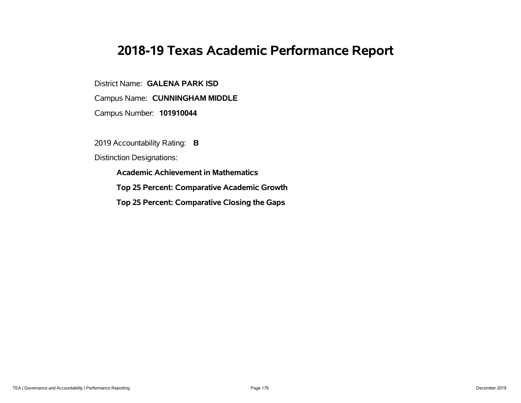## **2018-19 Texas Academic Performance Report**

District Name: **GALENA PARK ISD**

Campus Name: **CUNNINGHAM MIDDLE**

Campus Number: **101910044**

2019 Accountability Rating: **B**

Distinction Designations:

**Academic Achievement in Mathematics Top 25 Percent: Comparative Academic Growth Top 25 Percent: Comparative Closing the Gaps**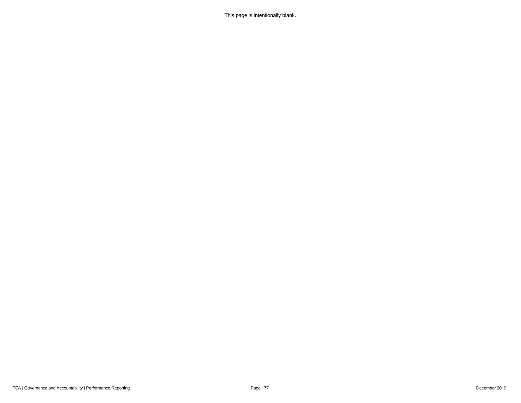This page is intentionally blank.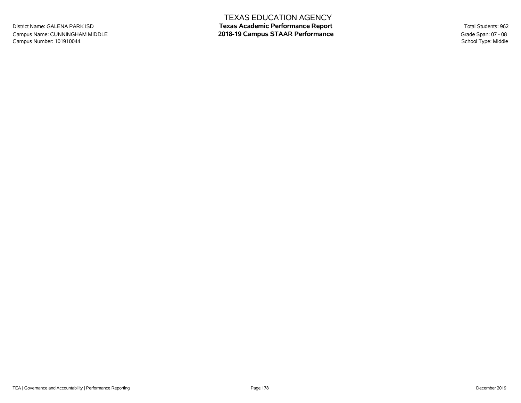Campus Name: CUNNINGHAM MIDDLE **2018-19 Campus STAAR Performance** Grade Span: 07 - 08<br>Campus Number: 101910044 School Type: Middle Campus Number: 101910044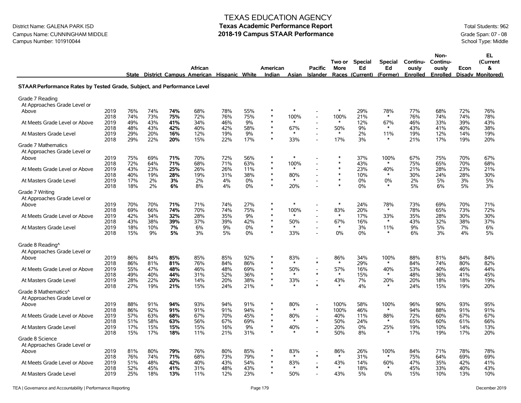District Name: GALENA PARK ISD **Texas Academic Performance Report** Total Students: 962 Campus Name: CUNNINGHAM MIDDLE **2018-19 Campus STAAR Performance** Grade Span: 07 - 08<br>Campus Number: 101910044 School Type: Middle Campus Number: 101910044

|                                                                         |              |            |            |            |                                                    |            |            |                    |                |                                    |                       |                                         |                           |                                      | Non-                          |            | <b>EL</b>                          |
|-------------------------------------------------------------------------|--------------|------------|------------|------------|----------------------------------------------------|------------|------------|--------------------|----------------|------------------------------------|-----------------------|-----------------------------------------|---------------------------|--------------------------------------|-------------------------------|------------|------------------------------------|
|                                                                         |              | State      |            |            | African<br>District Campus American Hispanic White |            |            | American<br>Indian | Asian          | <b>Pacific</b><br>Islander         | Two or<br><b>More</b> | <b>Special</b><br>Ed<br>Races (Current) | Special<br>Ed<br>(Former) | Continu-<br>ously<br><b>Enrolled</b> | Continu-<br>ously<br>Enrolled | Econ       | (Current<br>&<br>Disady Monitored) |
| STAAR Performance Rates by Tested Grade, Subject, and Performance Level |              |            |            |            |                                                    |            |            |                    |                |                                    |                       |                                         |                           |                                      |                               |            |                                    |
| Grade 7 Reading                                                         |              |            |            |            |                                                    |            |            |                    |                |                                    |                       |                                         |                           |                                      |                               |            |                                    |
| At Approaches Grade Level or                                            |              |            |            |            |                                                    |            |            |                    |                |                                    |                       |                                         |                           |                                      |                               |            |                                    |
| Above                                                                   | 2019<br>2018 | 76%<br>74% | 74%<br>73% | 74%<br>75% | 68%<br>72%                                         | 78%<br>76% | 55%<br>75% | $\ast$             | $\ast$<br>100% | $\overline{\phantom{a}}$           | 100%                  | 29%<br>21%                              | 78%<br>$\ast$             | 77%<br>76%                           | 68%<br>74%                    | 72%<br>74% | 76%<br>78%                         |
| At Meets Grade Level or Above                                           | 2019<br>2018 | 49%<br>48% | 43%<br>43% | 41%<br>42% | 34%<br>40%                                         | 46%<br>42% | 9%<br>58%  | $\ast$             | $\ast$<br>67%  | $\blacksquare$                     | $\ast$<br>50%         | 12%<br>9%                               | 67%<br>$\ast$             | 46%<br>43%                           | 33%<br>41%                    | 39%<br>40% | 43%<br>38%                         |
| At Masters Grade Level                                                  | 2019<br>2018 | 29%<br>29% | 20%<br>22% | 16%<br>20% | 12%<br>15%                                         | 19%<br>22% | 9%<br>17%  | $\ast$             | $\ast$<br>33%  | $\overline{a}$                     | $\ast$<br>17%         | 2%<br>3%                                | 11%<br>∗                  | 19%<br>21%                           | 12%<br>17%                    | 14%<br>19% | 19%<br>20%                         |
| Grade 7 Mathematics                                                     |              |            |            |            |                                                    |            |            |                    |                |                                    |                       |                                         |                           |                                      |                               |            |                                    |
| At Approaches Grade Level or                                            |              |            |            |            |                                                    |            |            |                    |                |                                    |                       |                                         |                           |                                      |                               |            |                                    |
| Above                                                                   | 2019         | 75%        | 69%        | 71%        | 70%                                                | 72%        | 56%        |                    | $\ast$         |                                    | ∗                     | 37%                                     | 100%                      | 67%                                  | 75%                           | 70%        | 67%                                |
|                                                                         | 2018         | 72%        | 64%        | 71%        | 68%                                                | 71%        | 63%        | $\ast$             | 100%           |                                    |                       | 43%                                     | $\ast$                    | 75%                                  | 65%                           | 70%        | 68%                                |
| At Meets Grade Level or Above                                           | 2019<br>2018 | 43%<br>40% | 23%<br>19% | 25%<br>28% | 26%<br>19%                                         | 26%<br>31% | 11%<br>38% | $\ast$<br>$\ast$   | $\ast$<br>80%  | $\blacksquare$                     |                       | 23%<br>10%                              | 40%<br>$\ast$             | 21%<br>30%                           | 28%<br>24%                    | 23%<br>28% | 21%<br>30%                         |
| At Masters Grade Level                                                  | 2019<br>2018 | 17%<br>18% | 2%<br>2%   | 3%<br>6%   | 2%<br>8%                                           | 4%<br>4%   | 0%<br>0%   | $\ast$             | $\ast$<br>20%  | $\overline{a}$                     | $\ast$<br>$\ast$      | 0%<br>0%                                | 0%<br>∗                   | 2%<br>5%                             | 5%<br>6%                      | 3%<br>5%   | 5%<br>3%                           |
| Grade 7 Writing                                                         |              |            |            |            |                                                    |            |            |                    |                |                                    |                       |                                         |                           |                                      |                               |            |                                    |
| At Approaches Grade Level or                                            |              |            |            |            |                                                    |            |            |                    |                |                                    |                       |                                         |                           |                                      |                               |            |                                    |
| Above                                                                   | 2019         | 70%        | 70%        | 71%        | 71%                                                | 74%        | 27%        |                    | $\ast$         |                                    | $\ast$                | 24%                                     | 78%                       | 73%                                  | 69%                           | 70%        | 71%                                |
|                                                                         | 2018         | 69%        | 66%        | 74%        | 70%                                                | 74%        | 75%        | $\ast$             | 100%           | $\overline{a}$                     | 83%                   | 20%                                     | $\ast$                    | 78%                                  | 65%                           | 73%        | 72%                                |
| At Meets Grade Level or Above                                           | 2019         | 42%        | 34%        | 32%        | 28%                                                | 35%        | 9%         |                    | $\ast$         |                                    | $\ast$                | 17%                                     | 33%                       | 35%                                  | 28%                           | 30%        | 30%                                |
|                                                                         | 2018         | 43%        | 38%        | 39%        | 37%                                                | 39%        | 42%        | $\ast$             | 50%            | $\blacksquare$                     | 67%                   | 16%                                     | $\ast$                    | 43%                                  | 32%                           | 38%        | 37%                                |
| At Masters Grade Level                                                  | 2019<br>2018 | 18%<br>15% | 10%<br>9%  | 7%<br>5%   | 6%<br>3%                                           | 9%<br>5%   | 0%<br>0%   | $\ast$             | $\ast$<br>33%  | $\overline{a}$                     | $\ast$<br>$0\%$       | 3%<br>0%                                | 11%<br>∗                  | 9%<br>6%                             | 5%<br>3%                      | 7%<br>4%   | 6%<br>5%                           |
| Grade 8 Reading^                                                        |              |            |            |            |                                                    |            |            |                    |                |                                    |                       |                                         |                           |                                      |                               |            |                                    |
| At Approaches Grade Level or                                            |              |            |            |            |                                                    |            |            |                    |                |                                    |                       |                                         |                           |                                      |                               |            |                                    |
| Above                                                                   | 2019         | 86%        | 84%        | 85%        | 85%                                                | 85%        | 92%        |                    | 83%            | $\blacksquare$                     | 86%                   | 34%                                     | 100%                      | 88%                                  | 81%                           | 84%        | 84%                                |
|                                                                         | 2018         | 86%        | 81%        | 81%        | 76%                                                | 84%        | 86%        | $\ast$             | $\ast$         | $\ast$                             | $\ast$                | 29%                                     | $\ast$                    | 84%                                  | 74%                           | 80%        | 82%                                |
| At Meets Grade Level or Above                                           | 2019         | 55%        | 47%        | 48%        | 46%                                                | 48%        | 69%        | $\ast$<br>$\ast$   | 50%<br>$\ast$  | $\overline{a}$<br>$\ast$           | 57%<br>$\ast$         | 16%                                     | 40%<br>$\ast$             | 53%                                  | 40%                           | 46%        | 44%                                |
| At Masters Grade Level                                                  | 2018<br>2019 | 49%<br>28% | 40%<br>22% | 44%<br>20% | 31%<br>14%                                         | 52%<br>20% | 36%<br>38% |                    | 33%            | $\overline{\phantom{a}}$           | 43%                   | 15%<br>7%                               | 20%                       | 48%<br>20%                           | 36%<br>18%                    | 41%<br>18% | 45%<br>19%                         |
|                                                                         | 2018         | 27%        | 19%        | 21%        | 15%                                                | 24%        | 21%        |                    | ж              | $\ast$                             |                       | 4%                                      |                           | 24%                                  | 15%                           | 19%        | 20%                                |
| Grade 8 Mathematics^                                                    |              |            |            |            |                                                    |            |            |                    |                |                                    |                       |                                         |                           |                                      |                               |            |                                    |
| At Approaches Grade Level or                                            |              |            |            |            |                                                    |            |            |                    |                |                                    |                       |                                         |                           |                                      |                               |            |                                    |
| Above                                                                   | 2019         | 88%        | 91%        | 94%        | 93%                                                | 94%        | 91%        |                    | 80%            |                                    | 100%                  | 58%                                     | 100%                      | 96%                                  | 90%                           | 93%        | 95%                                |
|                                                                         | 2018         | 86%        | 92%        | 91%        | 91%                                                | 91%        | 94%        |                    | $\ast$         | $\ast$                             | 100%                  | 46%                                     | $\ast$                    | 94%                                  | 88%                           | 91%        | 91%                                |
| At Meets Grade Level or Above                                           | 2019         | 57%        | 63%        | 68%        | 67%                                                | 70%        | 45%        | $\ast$             | 80%            | $\blacksquare$                     | 40%                   | 11%                                     | 88%                       | 72%                                  | 60%                           | 67%        | 67%                                |
|                                                                         | 2018         | 51%        | 58%        | 63%        | 56%                                                | 67%        | 69%        | $\ast$<br>$\ast$   | $\ast$         | $\ast$                             | 50%                   | 24%                                     | $\ast$                    | 65%                                  | 60%                           | 61%        | 66%                                |
| At Masters Grade Level                                                  | 2019         | 17%<br>15% | 15%<br>17% | 15%<br>18% | 15%<br>11%                                         | 16%<br>21% | 9%<br>31%  | $\ast$             | 40%<br>$\ast$  | $\overline{\phantom{a}}$<br>$\ast$ | 20%<br>50%            | $0\%$                                   | 25%<br>∗                  | 19%<br>17%                           | 10%                           | 14%<br>17% | 13%<br>20%                         |
| Grade 8 Science                                                         | 2018         |            |            |            |                                                    |            |            |                    |                |                                    |                       | 8%                                      |                           |                                      | 19%                           |            |                                    |
| At Approaches Grade Level or                                            |              |            |            |            |                                                    |            |            |                    |                |                                    |                       |                                         |                           |                                      |                               |            |                                    |
| Above                                                                   | 2019         | 81%        | 80%        | 79%        | 76%                                                | 80%        | 85%        | $\ast$             | 83%            |                                    | 86%                   | 26%                                     | 100%                      | 84%                                  | 71%                           | 78%        | 78%                                |
|                                                                         | 2018         | 76%        | 74%        | 71%        | 68%                                                | 73%        | 79%        |                    | $\ast$         | $\ast$                             | $\ast$                | 31%                                     | ∗                         | 75%                                  | 64%                           | 69%        | 69%                                |
| At Meets Grade Level or Above                                           | 2019         | 51%        | 48%        | 42%        | 40%                                                | 43%        | 54%        |                    | 83%            | $\overline{\phantom{a}}$           | 43%                   | 14%                                     | 60%                       | 47%                                  | 35%                           | 42%        | 41%                                |
|                                                                         | 2018         | 52%        | 45%        | 41%        | 31%                                                | 48%        | 43%        |                    | $\ast$         | $\ast$                             | $\ast$                | 18%                                     | ∗                         | 45%                                  | 33%                           | 40%        | 43%                                |
| At Masters Grade Level                                                  | 2019         | 25%        | 18%        | 13%        | 11%                                                | 12%        | 23%        |                    | 50%            | $\overline{\phantom{a}}$           | 43%                   | 5%                                      | 0%                        | 15%                                  | 10%                           | 13%        | 10%                                |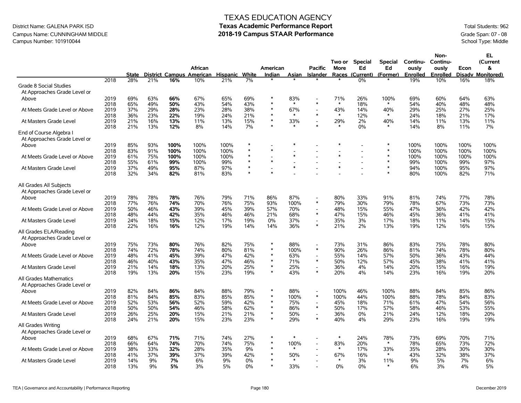### Campus Name: CUNNINGHAM MIDDLE **2018-19 Campus STAAR Performance** Grade Span: 07 - 08<br>Campus Number: 101910044 School Type: Middle Campus Number: 101910044

### TEXAS EDUCATION AGENCY

| Continu-<br><b>Special</b><br><b>Special</b><br>Continu-<br>Two or<br><b>African</b><br>American<br><b>Pacific</b><br><b>More</b><br>Ed<br>Ed<br>ously<br>ously<br>Econ<br><b>Enrolled</b><br><b>Disadv</b><br>State<br>District Campus American Hispanic<br>White<br>Indian<br>Asian<br>Races (Current)<br><b>Enrolled</b><br><b>Islander</b><br>(Former)<br>2018<br>28%<br>21%<br>16%<br>10%<br>21%<br>7%<br>0%<br>19%<br>10%<br>16% | (Current<br>&<br>Monitored)<br>18% |
|----------------------------------------------------------------------------------------------------------------------------------------------------------------------------------------------------------------------------------------------------------------------------------------------------------------------------------------------------------------------------------------------------------------------------------------|------------------------------------|
|                                                                                                                                                                                                                                                                                                                                                                                                                                        |                                    |
|                                                                                                                                                                                                                                                                                                                                                                                                                                        |                                    |
|                                                                                                                                                                                                                                                                                                                                                                                                                                        |                                    |
|                                                                                                                                                                                                                                                                                                                                                                                                                                        |                                    |
| Grade 8 Social Studies                                                                                                                                                                                                                                                                                                                                                                                                                 |                                    |
| At Approaches Grade Level or                                                                                                                                                                                                                                                                                                                                                                                                           |                                    |
| 63%<br>66%<br>67%<br>65%<br>2019<br>69%<br>69%<br>83%<br>71%<br>26%<br>100%<br>69%<br>60%<br>64%<br>Above<br>$\overline{a}$                                                                                                                                                                                                                                                                                                            | 63%                                |
| 65%<br>49%<br>50%<br>43%<br>54%<br>43%<br>48%<br>2018<br>$\ast$<br>$\ast$<br>$\ast$<br>18%<br>$\ast$<br>54%<br>40%                                                                                                                                                                                                                                                                                                                     | 48%                                |
| 2019<br>37%<br>29%<br>28%<br>23%<br>28%<br>38%<br>67%<br>43%<br>14%<br>40%<br>29%<br>25%<br>27%<br>At Meets Grade Level or Above<br>$\blacksquare$                                                                                                                                                                                                                                                                                     | 25%                                |
| $\ast$<br>36%<br>23%<br>22%<br>24%<br>21%<br>$\ast$<br>2018<br>19%<br>$\ast$<br>12%<br>$\ast$<br>24%<br>18%<br>21%                                                                                                                                                                                                                                                                                                                     | 17%                                |
| 15%<br>33%<br>2019<br>21%<br>16%<br>13%<br>11%<br>13%<br>29%<br>2%<br>40%<br>14%<br>11%<br>13%<br>At Masters Grade Level<br>$\overline{\phantom{a}}$                                                                                                                                                                                                                                                                                   | 11%                                |
| 2018<br>21%<br>13%<br>12%<br>8%<br>14%<br>7%<br>0%<br>14%<br>8%<br>11%                                                                                                                                                                                                                                                                                                                                                                 | 7%                                 |
| End of Course Algebra I                                                                                                                                                                                                                                                                                                                                                                                                                |                                    |
|                                                                                                                                                                                                                                                                                                                                                                                                                                        |                                    |
| At Approaches Grade Level or<br>$\ast$<br>$\ast$<br>$\ast$                                                                                                                                                                                                                                                                                                                                                                             |                                    |
| 93%<br>100%<br>2019<br>85%<br>100%<br>100%<br>100%<br>100%<br>100%<br>Above<br>$\ast$<br>$\ast$                                                                                                                                                                                                                                                                                                                                        | 100%                               |
| 2018<br>83%<br>91%<br>100%<br>100%<br>100%<br>100%<br>100%<br>100%<br>$\ast$                                                                                                                                                                                                                                                                                                                                                           | 100%                               |
| 2019<br>75%<br>$\ast$<br>100%<br>100%<br>61%<br>100%<br>100%<br>100%<br>$\ast$<br>$\ast$<br>100%<br>At Meets Grade Level or Above<br>$\overline{a}$                                                                                                                                                                                                                                                                                    | 100%                               |
| 55%<br>99%<br>100%<br>99%<br>$\ast$<br>$\ast$<br>99%<br>2018<br>61%<br>100%<br>99%                                                                                                                                                                                                                                                                                                                                                     | 97%                                |
| 37%<br>87%<br>97%<br>$\ast$<br>$\ast$<br>$\ast$<br>$\ast$<br>100%<br>95%<br>At Masters Grade Level<br>2019<br>49%<br>95%<br>94%                                                                                                                                                                                                                                                                                                        | 97%                                |
| 32%<br>$\ast$<br>82%<br>2018<br>34%<br>82%<br>81%<br>83%<br>$\ast$<br>80%<br>100%                                                                                                                                                                                                                                                                                                                                                      | 71%                                |
|                                                                                                                                                                                                                                                                                                                                                                                                                                        |                                    |
| All Grades All Subjects                                                                                                                                                                                                                                                                                                                                                                                                                |                                    |
| At Approaches Grade Level or                                                                                                                                                                                                                                                                                                                                                                                                           |                                    |
| 78%<br>78%<br>78%<br>79%<br>71%<br>86%<br>87%<br>80%<br>81%<br>77%<br>2019<br>76%<br>33%<br>91%<br>74%<br>Above<br>$\overline{\phantom{a}}$                                                                                                                                                                                                                                                                                            | 78%                                |
| 2018<br>77%<br>76%<br>74%<br>70%<br>76%<br>75%<br>93%<br>100%<br>$\ast$<br>79%<br>30%<br>79%<br>67%<br>73%<br>78%                                                                                                                                                                                                                                                                                                                      | 73%                                |
| 50%<br>46%<br>43%<br>39%<br>45%<br>39%<br>57%<br>42%<br>At Meets Grade Level or Above<br>2019<br>70%<br>48%<br>15%<br>55%<br>47%<br>36%                                                                                                                                                                                                                                                                                                | 42%                                |
| 48%<br>42%<br>35%<br>46%<br>46%<br>21%<br>68%<br>$\ast$<br>47%<br>2018<br>44%<br>15%<br>46%<br>45%<br>36%<br>41%                                                                                                                                                                                                                                                                                                                       | 41%                                |
| 2019<br>12%<br>24%<br>18%<br>15%<br>17%<br>19%<br>0%<br>37%<br>35%<br>3%<br>17%<br>18%<br>11%<br>14%<br>At Masters Grade Level<br>$\blacksquare$                                                                                                                                                                                                                                                                                       | 15%                                |
| $\ast$<br>14%<br>2018<br>22%<br>16%<br>16%<br>12%<br>19%<br>14%<br>36%<br>21%<br>2%<br>13%<br>19%<br>12%<br>16%                                                                                                                                                                                                                                                                                                                        | 15%                                |
| All Grades ELA/Reading                                                                                                                                                                                                                                                                                                                                                                                                                 |                                    |
| At Approaches Grade Level or                                                                                                                                                                                                                                                                                                                                                                                                           |                                    |
| 75%<br>73%<br>80%<br>76%<br>82%<br>75%<br>88%<br>73%<br>31%<br>86%<br>83%<br>75%<br>78%<br>2019<br>$\ast$<br>Above<br>$\overline{a}$                                                                                                                                                                                                                                                                                                   | 80%                                |
| 2018<br>74%<br>72%<br>78%<br>74%<br>80%<br>81%<br>100%<br>$\ast$<br>90%<br>26%<br>86%<br>81%<br>74%<br>78%<br>$\ast$                                                                                                                                                                                                                                                                                                                   | 80%                                |
| 48%<br>41%<br>45%<br>39%<br>47%<br>42%<br>55%<br>57%<br>36%<br>43%<br>At Meets Grade Level or Above<br>2019<br>63%<br>14%<br>50%                                                                                                                                                                                                                                                                                                       | 44%                                |
| 47%<br>2018<br>46%<br>40%<br>43%<br>35%<br>46%<br>71%<br>$\ast$<br>50%<br>12%<br>57%<br>45%<br>38%<br>41%                                                                                                                                                                                                                                                                                                                              | 41%                                |
| 2019<br>21%<br>20%<br>25%<br>25%<br>At Masters Grade Level<br>14%<br>18%<br>13%<br>$\ast$<br>36%<br>4%<br>14%<br>20%<br>15%<br>16%<br>$\overline{\phantom{a}}$                                                                                                                                                                                                                                                                         | 19%                                |
| $\ast$<br>2018<br>19%<br>13%<br>20%<br>15%<br>23%<br>19%<br>$\ast$<br>43%<br>20%<br>23%<br>19%<br>4%<br>14%<br>16%                                                                                                                                                                                                                                                                                                                     | 20%                                |
| All Grades Mathematics                                                                                                                                                                                                                                                                                                                                                                                                                 |                                    |
| At Approaches Grade Level or                                                                                                                                                                                                                                                                                                                                                                                                           |                                    |
| 84%<br>85%<br>86%<br>46%                                                                                                                                                                                                                                                                                                                                                                                                               | 86%                                |
| 82%<br>88%<br>79%<br>84%<br>2019<br>84%<br>88%<br>100%<br>100%<br>88%<br>Above<br>$\overline{\phantom{a}}$<br>$\ast$<br>$\ast$                                                                                                                                                                                                                                                                                                         |                                    |
| 85%<br>83%<br>85%<br>85%<br>2018<br>81%<br>84%<br>100%<br>100%<br>44%<br>100%<br>88%<br>78%<br>84%                                                                                                                                                                                                                                                                                                                                     | 83%                                |
| 2019<br>52%<br>53%<br>56%<br>52%<br>59%<br>42%<br>75%<br>45%<br>18%<br>71%<br>61%<br>47%<br>54%<br>At Meets Grade Level or Above<br>$\sim$<br>$\ast$                                                                                                                                                                                                                                                                                   | 56%                                |
| 58%<br>62%<br>2018<br>50%<br>50%<br>54%<br>46%<br>86%<br>50%<br>17%<br>57%<br>58%<br>46%<br>53%                                                                                                                                                                                                                                                                                                                                        | 55%                                |
| 2019<br>26%<br>25%<br>20%<br>21%<br>At Masters Grade Level<br>15%<br>21%<br>50%<br>36%<br>0%<br>21%<br>24%<br>12%<br>18%<br>$\blacksquare$<br>$\ast$                                                                                                                                                                                                                                                                                   | 20%                                |
| 2018<br>24%<br>21%<br>20%<br>15%<br>23%<br>23%<br>29%<br>40%<br>29%<br>23%<br>16%<br>19%<br>4%                                                                                                                                                                                                                                                                                                                                         | 19%                                |
| All Grades Writing                                                                                                                                                                                                                                                                                                                                                                                                                     |                                    |
| At Approaches Grade Level or                                                                                                                                                                                                                                                                                                                                                                                                           |                                    |
| 68%<br>67%<br>71%<br>74%<br>27%<br>$\ast$<br>69%<br>2019<br>71%<br>$\ast$<br>24%<br>78%<br>73%<br>70%<br>Above                                                                                                                                                                                                                                                                                                                         | 71%                                |
| 75%<br>100%<br>83%<br>2018<br>66%<br>64%<br>74%<br>70%<br>74%<br>$\ast$<br>20%<br>$\ast$<br>78%<br>65%<br>73%<br>$\blacksquare$                                                                                                                                                                                                                                                                                                        | 72%                                |
| 2019<br>38%<br>33%<br>32%<br>28%<br>35%<br>9%<br>$\ast$<br>17%<br>33%<br>35%<br>28%<br>30%<br>At Meets Grade Level or Above<br>$\ast$                                                                                                                                                                                                                                                                                                  | 30%                                |
| 39%<br>42%<br>2018<br>41%<br>37%<br>39%<br>37%<br>50%<br>67%<br>16%<br>$\ast$<br>43%<br>32%<br>38%<br>$\blacksquare$                                                                                                                                                                                                                                                                                                                   | 37%                                |
| 2019<br>14%<br>9%<br>7%<br>6%<br>9%<br>0%<br>3%<br>9%<br>5%<br>7%<br>At Masters Grade Level<br>$\ast$<br>11%<br>∗                                                                                                                                                                                                                                                                                                                      | 6%                                 |
| 2018<br>13%<br>9%<br>5%<br>3%<br>5%<br>0%<br>33%<br>$0\%$<br>0%<br>6%<br>3%<br>∗<br>$4\%$<br>$\overline{a}$                                                                                                                                                                                                                                                                                                                            | 5%                                 |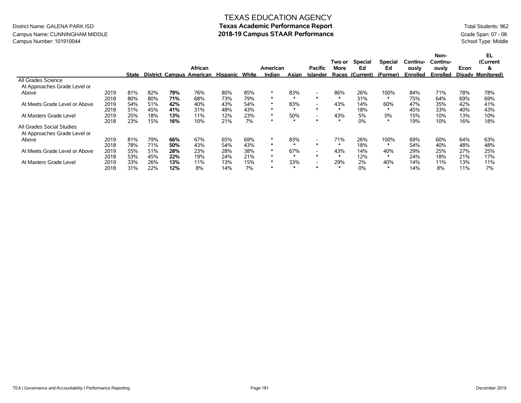### Campus Name: CUNNINGHAM MIDDLE **2018-19 Campus STAAR Performance** Grade Span: 07 - 08<br>Campus Number: 101910044 School Type: Middle Campus Number: 101910044

### TEXAS EDUCATION AGENCY

|                               |      |       |     |     |                          |          |       |          |        |                          |        |                 |                |                 | Non-     |        | EL                |
|-------------------------------|------|-------|-----|-----|--------------------------|----------|-------|----------|--------|--------------------------|--------|-----------------|----------------|-----------------|----------|--------|-------------------|
|                               |      |       |     |     |                          |          |       |          |        |                          | Two or | <b>Special</b>  | <b>Special</b> | Continu-        | Continu- |        | (Current          |
|                               |      |       |     |     | African                  |          |       | American |        | <b>Pacific</b>           | More   | Ed              | Ed             | ously           | ously    | Econ   | &                 |
|                               |      | State |     |     | District Campus American | Hispanic | White | Indian   | Asian  | <b>Islander</b>          |        | Races (Current) | (Former)       | <b>Enrolled</b> | Enrolled | Disadv | <b>Monitored)</b> |
| All Grades Science            |      |       |     |     |                          |          |       |          |        |                          |        |                 |                |                 |          |        |                   |
| At Approaches Grade Level or  |      |       |     |     |                          |          |       |          |        |                          |        |                 |                |                 |          |        |                   |
| Above                         | 2019 | 81%   | 82% | 79% | 76%                      | 80%      | 85%   | ∗        | 83%    | $\overline{\phantom{a}}$ | 86%    | 26%             | 100%           | 84%             | 71%      | 78%    | 78%               |
|                               | 2018 | 80%   | 80% | 71% | 68%                      | 73%      | 79%   | $\ast$   | $\ast$ | $\ast$                   | $\ast$ | 31%             | $\ast$         | 75%             | 64%      | 69%    | 69%               |
| At Meets Grade Level or Above | 2019 | 54%   | 51% | 42% | 40%                      | 43%      | 54%   | ∗        | 83%    | $\overline{\phantom{0}}$ | 43%    | 14%             | 60%            | 47%             | 35%      | 42%    | 41%               |
|                               | 2018 | 51%   | 45% | 41% | 31%                      | 48%      | 43%   | $\ast$   |        | $\ast$                   | *      | 18%             | $\ast$         | 45%             | 33%      | 40%    | 43%               |
| At Masters Grade Level        | 2019 | 25%   | 18% | 13% | 11%                      | 12%      | 23%   |          | 50%    | $\overline{\phantom{0}}$ | 43%    | 5%              | $0\%$          | 15%             | 10%      | 13%    | 10%               |
|                               | 2018 | 23%   | 15% | 16% | 10%                      | 21%      | 7%    | $\ast$   |        | $\ast$                   |        | $0\%$           | $\ast$         | 19%             | 10%      | 16%    | 18%               |
| All Grades Social Studies     |      |       |     |     |                          |          |       |          |        |                          |        |                 |                |                 |          |        |                   |
| At Approaches Grade Level or  |      |       |     |     |                          |          |       |          |        |                          |        |                 |                |                 |          |        |                   |
| Above                         | 2019 | 81%   | 79% | 66% | 67%                      | 65%      | 69%   | ∗        | 83%    | $\overline{\phantom{a}}$ | 71%    | 26%             | 100%           | 69%             | 60%      | 64%    | 63%               |
|                               | 2018 | 78%   | 71% | 50% | 43%                      | 54%      | 43%   | ∗        | $\ast$ | $\ast$                   | ∗      | 18%             | ∗              | 54%             | 40%      | 48%    | 48%               |
| At Meets Grade Level or Above | 2019 | 55%   | 51% | 28% | 23%                      | 28%      | 38%   | $\ast$   | 67%    | $\overline{\phantom{a}}$ | 43%    | 14%             | 40%            | 29%             | 25%      | 27%    | 25%               |
|                               | 2018 | 53%   | 45% | 22% | 19%                      | 24%      | 21%   | $\ast$   |        | $\ast$                   | *      | 12%             | $\ast$         | 24%             | 18%      | 21%    | 17%               |
| At Masters Grade Level        | 2019 | 33%   | 26% | 13% | 11%                      | 13%      | 15%   | $\ast$   | 33%    | $\overline{\phantom{a}}$ | 29%    | 2%              | 40%            | 14%             | 11%      | 13%    | 11%               |
|                               | 2018 | 31%   | 22% | 12% | 8%                       | 14%      | 7%    |          |        |                          |        | 0%              | ∗              | 14%             | 8%       | 11%    | 7%                |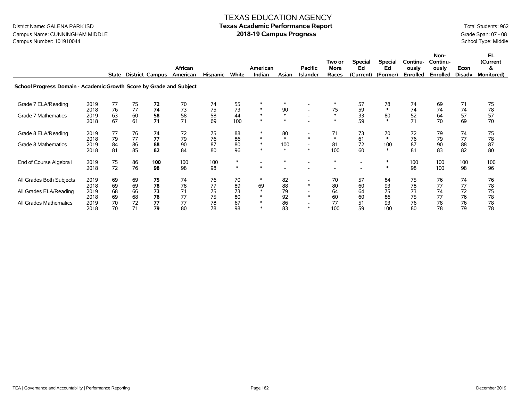### TEXAS EDUCATION AGENCY District Name: GALENA PARK ISD **Texas Academic Performance Report** Total Students: 962

Campus Name: CUNNINGHAM MIDDLE **2018-19 Campus Progress Campus Progress** Grade Span: 07 - 08<br>Campus Number: 101910044 School Type: Middle Campus Number: 101910044

|                                                                     |              | State    |          | <b>District Campus</b> | African<br>American | <b>Hispanic</b> | White            | American<br>Indian | Asian            | <b>Pacific</b><br><b>Islander</b> | Two or<br>More<br>Races | <b>Special</b><br>Ed<br>(Current) | <b>Special</b><br>Ed<br>(Former) | Continu-<br>ously<br>Enrolled | Non-<br>Continu-<br>ously<br>Enrolled | Econ<br><b>Disadv</b> | EL<br>(Current<br>&<br><b>Monitored)</b> |
|---------------------------------------------------------------------|--------------|----------|----------|------------------------|---------------------|-----------------|------------------|--------------------|------------------|-----------------------------------|-------------------------|-----------------------------------|----------------------------------|-------------------------------|---------------------------------------|-----------------------|------------------------------------------|
| School Progress Domain - Academic Growth Score by Grade and Subject |              |          |          |                        |                     |                 |                  |                    |                  |                                   |                         |                                   |                                  |                               |                                       |                       |                                          |
| Grade 7 ELA/Reading                                                 | 2019<br>2018 | 77<br>76 | 75<br>77 | 72<br>74               | 70<br>73            | 74<br>75        | 55<br>73         | ∗                  | 90               | $\overline{\phantom{0}}$          | 75                      | 57<br>59                          | 78<br>$\ast$                     | 74<br>74                      | 69<br>74                              | 71<br>74              | 75<br>78                                 |
| Grade 7 Mathematics                                                 | 2019<br>2018 | 63<br>67 | 60<br>61 | 58<br>71               | 58<br>71            | 58<br>69        | 44<br>100        | $\ast$<br>$\ast$   | $\ast$<br>$\ast$ |                                   |                         | 33<br>59                          | 80<br>×.                         | 52<br>71                      | 64<br>70                              | 57<br>69              | 57<br>70                                 |
| Grade 8 ELA/Reading                                                 | 2019<br>2018 | 77<br>79 | 76<br>77 | 74<br>77               | 72<br>79            | 75<br>76        | 88<br>86         | $\ast$<br>$\ast$   | 80<br>$\star$    |                                   | 71                      | 73<br>61                          | 70                               | 72<br>76                      | 79<br>79                              | 74<br>77              | 75<br>78                                 |
| Grade 8 Mathematics                                                 | 2019<br>2018 | 84<br>81 | 86<br>85 | 88<br>82               | 90<br>84            | 87<br>80        | 80<br>96         | $\ast$<br>$\ast$   | 100<br>$\ast$    | $\overline{\phantom{a}}$          | 81<br>100               | 72<br>60                          | 100<br>$\star$                   | 87<br>81                      | 90<br>83                              | 88<br>82              | 87<br>80                                 |
| End of Course Algebra I                                             | 2019<br>2018 | 75<br>72 | 86<br>76 | 100<br>98              | 100<br>98           | 100<br>98       | $\ast$<br>$\ast$ | $\ast$             | *                |                                   | ∗                       |                                   |                                  | 100<br>98                     | 100<br>100                            | 100<br>98             | 100<br>96                                |
| All Grades Both Subjects                                            | 2019<br>2018 | 69<br>69 | 69<br>69 | 75<br>78               | 74<br>78            | 76<br>77        | 70<br>89         | 69                 | 82<br>88         | $\star$                           | 70<br>80                | 57<br>60                          | 84<br>93                         | 75<br>78                      | 76<br>77                              | 74<br>77              | 76<br>78                                 |
| All Grades ELA/Reading                                              | 2019<br>2018 | 68<br>69 | 66<br>68 | 73<br>76               | 71<br>77            | 75<br>75        | 73<br>80         | $\ast$             | 79<br>92         |                                   | 64<br>60                | 64<br>60                          | 75<br>86                         | 73<br>75                      | 74<br>77                              | 72<br>76              | 75<br>78                                 |
| All Grades Mathematics                                              | 2019<br>2018 | 70<br>70 | 72<br>71 | 77<br>79               | 77<br>80            | 78<br>78        | 67<br>98         | $\ast$<br>$\ast$   | 86<br>83         |                                   | 77<br>100               | 51<br>59                          | 93<br>100                        | 76<br>80                      | 78<br>78                              | 76<br>79              | 78<br>78                                 |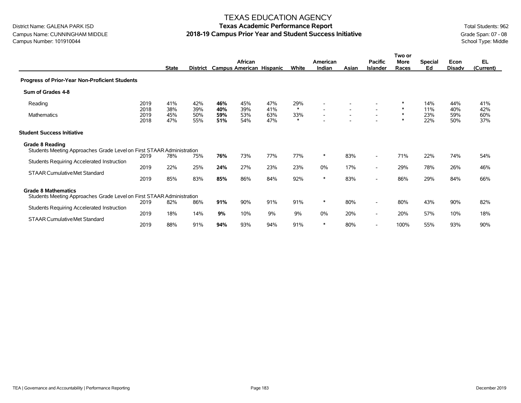### Campus Name: CUNNINGHAM MIDDLE **2018-19 Campus Prior Year and Student Success Initiative** Grade Span: 07 - 08<br>Campus Number: 101910044 School Type: Middle Campus Number: 101910044

### TEXAS EDUCATION AGENCY

|                                                                                                                                                                                           |                              | <b>State</b>             | <b>District</b>          |                          | African<br><b>Campus American Hispanic</b> |                          | White                          | American<br>Indian                                                               | Asian                                                                            | <b>Pacific</b><br><b>Islander</b>                                                | Two or<br><b>More</b><br>Races  | <b>Special</b><br>Ed     | Econ<br><b>Disadv</b>    | EL<br>(Current)          |
|-------------------------------------------------------------------------------------------------------------------------------------------------------------------------------------------|------------------------------|--------------------------|--------------------------|--------------------------|--------------------------------------------|--------------------------|--------------------------------|----------------------------------------------------------------------------------|----------------------------------------------------------------------------------|----------------------------------------------------------------------------------|---------------------------------|--------------------------|--------------------------|--------------------------|
| Progress of Prior-Year Non-Proficient Students                                                                                                                                            |                              |                          |                          |                          |                                            |                          |                                |                                                                                  |                                                                                  |                                                                                  |                                 |                          |                          |                          |
| Sum of Grades 4-8                                                                                                                                                                         |                              |                          |                          |                          |                                            |                          |                                |                                                                                  |                                                                                  |                                                                                  |                                 |                          |                          |                          |
| Reading<br>Mathematics                                                                                                                                                                    | 2019<br>2018<br>2019<br>2018 | 41%<br>38%<br>45%<br>47% | 42%<br>39%<br>50%<br>55% | 46%<br>40%<br>59%<br>51% | 45%<br>39%<br>53%<br>54%                   | 47%<br>41%<br>63%<br>47% | 29%<br>$\ast$<br>33%<br>$\ast$ | $\overline{\phantom{a}}$<br>$\overline{\phantom{0}}$<br>$\overline{\phantom{a}}$ | $\overline{\phantom{a}}$<br>$\overline{\phantom{a}}$<br>$\overline{\phantom{a}}$ | $\overline{\phantom{a}}$<br>$\sim$<br>$\overline{\phantom{a}}$                   | ∗<br>$\ast$<br>$\ast$<br>$\ast$ | 14%<br>11%<br>23%<br>22% | 44%<br>40%<br>59%<br>50% | 41%<br>42%<br>60%<br>37% |
| <b>Student Success Initiative</b>                                                                                                                                                         |                              |                          |                          |                          |                                            |                          |                                |                                                                                  |                                                                                  |                                                                                  |                                 |                          |                          |                          |
| <b>Grade 8 Reading</b><br>Students Meeting Approaches Grade Level on First STAAR Administration<br>Students Requiring Accelerated Instruction<br><b>STAAR Cumulative Met Standard</b>     | 2019<br>2019<br>2019         | 78%<br>22%<br>85%        | 75%<br>25%<br>83%        | 76%<br>24%<br>85%        | 73%<br>27%<br>86%                          | 77%<br>23%<br>84%        | 77%<br>23%<br>92%              | $\ast$<br>0%<br>$\ast$                                                           | 83%<br>17%<br>83%                                                                | $\overline{\phantom{a}}$<br>$\overline{\phantom{a}}$<br>$\overline{\phantom{a}}$ | 71%<br>29%<br>86%               | 22%<br>78%<br>29%        | 74%<br>26%<br>84%        | 54%<br>46%<br>66%        |
| <b>Grade 8 Mathematics</b><br>Students Meeting Approaches Grade Level on First STAAR Administration<br>Students Requiring Accelerated Instruction<br><b>STAAR Cumulative Met Standard</b> | 2019<br>2019<br>2019         | 82%<br>18%<br>88%        | 86%<br>14%<br>91%        | 91%<br>9%<br>94%         | 90%<br>10%<br>93%                          | 91%<br>9%<br>94%         | 91%<br>9%<br>91%               | $\ast$<br>0%<br>$\ast$                                                           | 80%<br>20%<br>80%                                                                | $\overline{\phantom{a}}$<br>$\overline{\phantom{a}}$<br>$\overline{\phantom{a}}$ | 80%<br>20%<br>100%              | 43%<br>57%<br>55%        | 90%<br>10%<br>93%        | 82%<br>18%<br>90%        |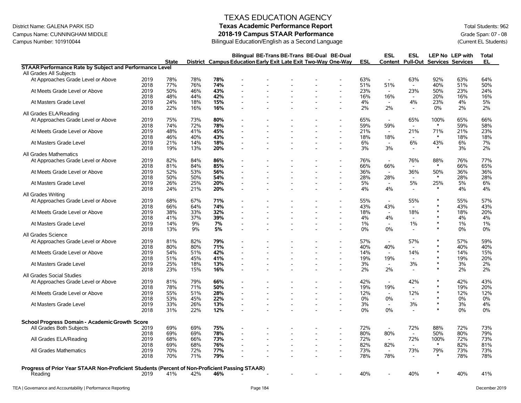# Campus Name: CUNNINGHAM MIDDLE **2018-19 Campus STAAR Performance**<br>Campus Number: 101910044 Campus 101910044 Campus State Students)

### TEXAS EDUCATION AGENCY

### District Name: GALENA PARK ISD **Texas Academic Performance Report** Total Students: 962

Bilingual Education/English as a Second Language

|                                                                                                |      |              |     |     | Bilingual BE-Trans BE-Trans BE-Dual BE-Dual                    |  |            | <b>ESL</b>               | <b>ESL</b>               |        | <b>LEP No LEP with</b>   | <b>Total</b> |
|------------------------------------------------------------------------------------------------|------|--------------|-----|-----|----------------------------------------------------------------|--|------------|--------------------------|--------------------------|--------|--------------------------|--------------|
|                                                                                                |      | <b>State</b> |     |     | District Campus Education Early Exit Late Exit Two-Way One-Way |  | <b>ESL</b> |                          | Content Pull-Out         |        | <b>Services Services</b> | EL           |
| <b>STAAR Performance Rate by Subject and Performance Level</b><br>All Grades All Subjects      |      |              |     |     |                                                                |  |            |                          |                          |        |                          |              |
| At Approaches Grade Level or Above                                                             | 2019 | 78%          | 78% | 78% |                                                                |  | 63%        | $\overline{\phantom{a}}$ | 63%                      | 92%    | 63%                      | 64%          |
|                                                                                                | 2018 | 77%          | 76% | 74% |                                                                |  | 51%        | 51%                      | $\sim$                   | 40%    | 51%                      | 50%          |
| At Meets Grade Level or Above                                                                  | 2019 | 50%          | 46% | 43% |                                                                |  | 23%        |                          | 23%                      | 50%    | 23%                      | 24%          |
|                                                                                                |      |              |     |     |                                                                |  |            |                          | $\sim$                   |        |                          |              |
|                                                                                                | 2018 | 48%          | 44% | 42% |                                                                |  | 16%        | 16%                      |                          | 20%    | 16%                      | 16%          |
| At Masters Grade Level                                                                         | 2019 | 24%          | 18% | 15% |                                                                |  | 4%         | $\overline{\phantom{a}}$ | 4%                       | 23%    | 4%                       | 5%           |
|                                                                                                | 2018 | 22%          | 16% | 16% |                                                                |  | 2%         | 2%                       | $\overline{\phantom{a}}$ | 0%     | 2%                       | 2%           |
| All Grades ELA/Reading                                                                         |      |              |     |     |                                                                |  |            |                          |                          |        |                          |              |
| At Approaches Grade Level or Above                                                             | 2019 | 75%          | 73% | 80% |                                                                |  | 65%        | $\overline{\phantom{a}}$ | 65%                      | 100%   | 65%                      | 66%          |
|                                                                                                | 2018 | 74%          | 72% | 78% |                                                                |  | 59%        | 59%                      |                          | $\ast$ | 59%                      | 58%          |
| At Meets Grade Level or Above                                                                  | 2019 | 48%          | 41% | 45% |                                                                |  | 21%        | $\sim$                   | 21%                      | 71%    | 21%                      | 23%          |
|                                                                                                |      |              |     |     |                                                                |  |            |                          |                          | $\ast$ |                          |              |
|                                                                                                | 2018 | 46%          | 40% | 43% |                                                                |  | 18%        | 18%                      | $\overline{\phantom{a}}$ |        | 18%                      | 18%          |
| At Masters Grade Level                                                                         | 2019 | 21%          | 14% | 18% |                                                                |  | 6%         | $\overline{\phantom{a}}$ | 6%                       | 43%    | 6%                       | 7%           |
|                                                                                                | 2018 | 19%          | 13% | 20% |                                                                |  | 3%         | 3%                       |                          |        | 3%                       | 2%           |
| All Grades Mathematics                                                                         |      |              |     |     |                                                                |  |            |                          |                          |        |                          |              |
| At Approaches Grade Level or Above                                                             | 2019 | 82%          | 84% | 86% |                                                                |  | 76%        |                          | 76%                      | 88%    | 76%                      | 77%          |
|                                                                                                | 2018 | 81%          | 84% | 85% |                                                                |  | 66%        | 66%                      | $\overline{\phantom{a}}$ | $\ast$ | 66%                      | 65%          |
|                                                                                                |      |              |     |     |                                                                |  |            |                          |                          |        |                          |              |
| At Meets Grade Level or Above                                                                  | 2019 | 52%          | 53% | 56% |                                                                |  | 36%        | $\sim$                   | 36%                      | 50%    | 36%                      | 36%          |
|                                                                                                | 2018 | 50%          | 50% | 54% |                                                                |  | 28%        | 28%                      |                          | $\ast$ | 28%                      | 28%          |
| At Masters Grade Level                                                                         | 2019 | 26%          | 25% | 20% |                                                                |  | 5%         | $\sim$                   | 5%                       | 25%    | 5%                       | 6%           |
|                                                                                                | 2018 | 24%          | 21% | 20% |                                                                |  | 4%         | 4%                       |                          |        | 4%                       | 4%           |
| All Grades Writing                                                                             |      |              |     |     |                                                                |  |            |                          |                          |        |                          |              |
| At Approaches Grade Level or Above                                                             | 2019 | 68%          | 67% | 71% |                                                                |  | 55%        | $\overline{\phantom{a}}$ | 55%                      |        | 55%                      | 57%          |
|                                                                                                | 2018 | 66%          | 64% | 74% |                                                                |  | 43%        | 43%                      |                          |        | 43%                      | 43%          |
|                                                                                                |      |              |     |     |                                                                |  |            |                          |                          |        |                          |              |
| At Meets Grade Level or Above                                                                  | 2019 | 38%          | 33% | 32% |                                                                |  | 18%        | $\sim$                   | 18%                      |        | 18%                      | 20%          |
|                                                                                                | 2018 | 41%          | 37% | 39% |                                                                |  | 4%         | 4%                       |                          |        | 4%                       | 4%           |
| At Masters Grade Level                                                                         | 2019 | 14%          | 9%  | 7%  |                                                                |  | 1%         |                          | 1%                       |        | 1%                       | 1%           |
|                                                                                                | 2018 | 13%          | 9%  | 5%  |                                                                |  | 0%         | 0%                       | $\sim$                   |        | 0%                       | 0%           |
| All Grades Science                                                                             |      |              |     |     |                                                                |  |            |                          |                          |        |                          |              |
| At Approaches Grade Level or Above                                                             | 2019 | 81%          | 82% | 79% |                                                                |  | 57%        | $\overline{\phantom{a}}$ | 57%                      |        | 57%                      | 59%          |
|                                                                                                | 2018 | 80%          | 80% | 71% |                                                                |  | 40%        | 40%                      |                          |        | 40%                      | 40%          |
|                                                                                                |      |              |     |     |                                                                |  |            |                          |                          |        |                          |              |
| At Meets Grade Level or Above                                                                  | 2019 | 54%          | 51% | 42% |                                                                |  | 14%        | $\sim$                   | 14%                      |        | 14%                      | 15%          |
|                                                                                                | 2018 | 51%          | 45% | 41% |                                                                |  | 19%        | 19%                      |                          |        | 19%                      | 20%          |
| At Masters Grade Level                                                                         | 2019 | 25%          | 18% | 13% |                                                                |  | 3%         | $\overline{a}$           | 3%                       |        | 3%                       | 2%           |
|                                                                                                | 2018 | 23%          | 15% | 16% |                                                                |  | 2%         | 2%                       |                          |        | 2%                       | 2%           |
| All Grades Social Studies                                                                      |      |              |     |     |                                                                |  |            |                          |                          |        |                          |              |
| At Approaches Grade Level or Above                                                             | 2019 | 81%          | 79% | 66% |                                                                |  | 42%        | $\overline{\phantom{a}}$ | 42%                      |        | 42%                      | 43%          |
|                                                                                                | 2018 | 78%          | 71% | 50% |                                                                |  | 19%        | 19%                      |                          |        | 19%                      | 20%          |
|                                                                                                |      |              |     |     |                                                                |  |            |                          |                          |        |                          |              |
| At Meets Grade Level or Above                                                                  | 2019 | 55%          | 51% | 28% |                                                                |  | 12%        | $\overline{\phantom{a}}$ | 12%                      |        | 12%                      | 12%          |
|                                                                                                | 2018 | 53%          | 45% | 22% |                                                                |  | $0\%$      | 0%                       | $\overline{\phantom{a}}$ |        | 0%                       | 0%           |
| At Masters Grade Level                                                                         | 2019 | 33%          | 26% | 13% |                                                                |  | 3%         | $\overline{\phantom{a}}$ | 3%                       |        | 3%                       | 4%           |
|                                                                                                | 2018 | 31%          | 22% | 12% |                                                                |  | 0%         | 0%                       |                          |        | 0%                       | 0%           |
|                                                                                                |      |              |     |     |                                                                |  |            |                          |                          |        |                          |              |
| School Progress Domain - Academic Growth Score                                                 |      |              |     |     |                                                                |  |            |                          |                          |        |                          |              |
| All Grades Both Subjects                                                                       | 2019 | 69%          | 69% | 75% |                                                                |  | 72%        |                          | 72%                      | 88%    | 72%                      | 73%          |
|                                                                                                |      |              |     | 78% |                                                                |  |            |                          | $\overline{a}$           |        | 80%                      | 79%          |
|                                                                                                | 2018 | 69%          | 69% |     |                                                                |  | 80%        | 80%                      |                          | 50%    |                          |              |
| All Grades ELA/Reading                                                                         | 2019 | 68%          | 66% | 73% |                                                                |  | 72%        | $\overline{\phantom{a}}$ | 72%                      | 100%   | 72%                      | 73%          |
|                                                                                                | 2018 | 69%          | 68% | 76% |                                                                |  | 82%        | 82%                      | $\overline{a}$           | $\ast$ | 82%                      | 81%          |
| All Grades Mathematics                                                                         | 2019 | 70%          | 72% | 77% |                                                                |  | 73%        | $\sim$                   | 73%                      | 79%    | 73%                      | 73%          |
|                                                                                                | 2018 | 70%          | 71% | 79% |                                                                |  | 78%        | 78%                      |                          |        | 78%                      | 78%          |
|                                                                                                |      |              |     |     |                                                                |  |            |                          |                          |        |                          |              |
| Progress of Prior Year STAAR Non-Proficient Students (Percent of Non-Proficient Passing STAAR) |      |              |     |     |                                                                |  |            |                          |                          |        |                          |              |
|                                                                                                |      |              |     |     |                                                                |  | 40%        |                          | 40%                      |        | 40%                      |              |
| Reading                                                                                        | 2019 | 41%          | 42% | 46% |                                                                |  |            |                          |                          |        |                          | 41%          |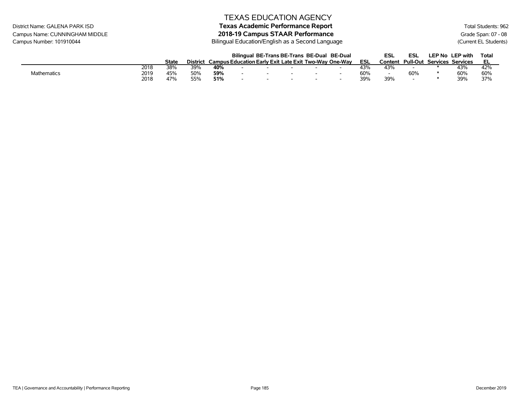# Campus Name: CUNNINGHAM MIDDLE **2018-19 Campus STAAR Performance**<br>Campus Number: 101910044 Campus 101910044 Campus State Students)

### TEXAS EDUCATION AGENCY

## District Name: GALENA PARK ISD **Texas Academic Performance Report** Total Students: 962

Bilingual Education/English as a Second Language

|                    |      |       |                 |     |                                                       | <b>Bilingual BE-Trans BE-Trans BE-Dual BE-Dual</b> |  |            | <b>ESI</b>     | ESL      |                   | LEP No LEP with | <b>Total</b> |
|--------------------|------|-------|-----------------|-----|-------------------------------------------------------|----------------------------------------------------|--|------------|----------------|----------|-------------------|-----------------|--------------|
|                    |      | State | <b>District</b> |     | Campus Education Early Exit Late Exit Two-Way One-Way |                                                    |  | <b>ESL</b> | <b>Content</b> | Pull-Out | Services Services |                 |              |
|                    | 2018 | 38%   | 39%             | 40% |                                                       |                                                    |  |            | 43%            |          |                   |                 | 42%          |
| <b>Mathematics</b> | 2019 | 45%   | 50%             | 59% |                                                       |                                                    |  | 60%        |                | 60%      |                   | 60%             | 60%          |
|                    | 2018 | 17%   | 55%             | 51% |                                                       |                                                    |  | 39%        | 39%            |          |                   | 30%             | 37%          |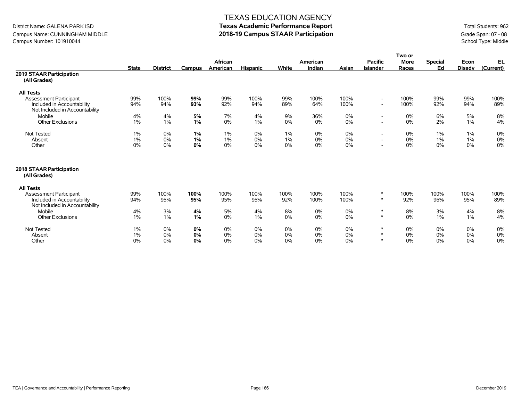## District Name: GALENA PARK ISD **Texas Academic Performance Report** Total Students: 962

Campus Name: CUNNINGHAM MIDDLE **2018-19 Campus STAAR Participation**<br>Campus Number: 101910044 School Type: Middle Campus Number: 101910044

|                                                              |              |                 |        |          |                 |       |          |       |                          | Two or      |                |               |           |
|--------------------------------------------------------------|--------------|-----------------|--------|----------|-----------------|-------|----------|-------|--------------------------|-------------|----------------|---------------|-----------|
|                                                              |              |                 |        | African  |                 |       | American |       | <b>Pacific</b>           | <b>More</b> | <b>Special</b> | Econ          | EL        |
|                                                              | <b>State</b> | <b>District</b> | Campus | American | <b>Hispanic</b> | White | Indian   | Asian | <b>Islander</b>          | Races       | Ed             | <b>Disadv</b> | (Current) |
| 2019 STAAR Participation                                     |              |                 |        |          |                 |       |          |       |                          |             |                |               |           |
| (All Grades)                                                 |              |                 |        |          |                 |       |          |       |                          |             |                |               |           |
| <b>All Tests</b>                                             |              |                 |        |          |                 |       |          |       |                          |             |                |               |           |
| <b>Assessment Participant</b>                                | 99%          | 100%            | 99%    | 99%      | 100%            | 99%   | 100%     | 100%  | $\overline{\phantom{a}}$ | 100%        | 99%            | 99%           | 100%      |
| Included in Accountability<br>Not Included in Accountability | 94%          | 94%             | 93%    | 92%      | 94%             | 89%   | 64%      | 100%  | $\overline{\phantom{a}}$ | 100%        | 92%            | 94%           | 89%       |
| Mobile                                                       | 4%           | 4%              | 5%     | 7%       | 4%              | 9%    | 36%      | 0%    | $\overline{\phantom{a}}$ | 0%          | 6%             | 5%            | 8%        |
| <b>Other Exclusions</b>                                      | $1\%$        | 1%              | 1%     | 0%       | $1\%$           | 0%    | 0%       | 0%    | $\overline{\phantom{a}}$ | 0%          | 2%             | $1\%$         | 4%        |
| Not Tested                                                   | 1%           | 0%              | 1%     | 1%       | 0%              | $1\%$ | 0%       | 0%    | $\overline{\phantom{a}}$ | 0%          | 1%             | 1%            | 0%        |
| Absent                                                       | 1%           | 0%              | 1%     | 1%       | 0%              | 1%    | 0%       | 0%    | $\overline{\phantom{a}}$ | 0%          | 1%             | $1\%$         | 0%        |
| Other                                                        | 0%           | 0%              | 0%     | $0\%$    | 0%              | 0%    | 0%       | 0%    | $\overline{\phantom{a}}$ | 0%          | 0%             | 0%            | 0%        |
| 2018 STAAR Participation<br>(All Grades)                     |              |                 |        |          |                 |       |          |       |                          |             |                |               |           |
| <b>All Tests</b>                                             |              |                 |        |          |                 |       |          |       |                          |             |                |               |           |
| Assessment Participant                                       | 99%          | 100%            | 100%   | 100%     | 100%            | 100%  | 100%     | 100%  | $\ast$                   | 100%        | 100%           | 100%          | 100%      |
| Included in Accountability<br>Not Included in Accountability | 94%          | 95%             | 95%    | 95%      | 95%             | 92%   | 100%     | 100%  | $\ast$                   | 92%         | 96%            | 95%           | 89%       |
| Mobile                                                       | 4%           | 3%              | 4%     | 5%       | 4%              | 8%    | 0%       | 0%    | $\ast$                   | 8%          | 3%             | 4%            | 8%        |
| <b>Other Exclusions</b>                                      | $1\%$        | 1%              | 1%     | 0%       | 1%              | 0%    | 0%       | 0%    | $\ast$                   | 0%          | 1%             | $1\%$         | 4%        |
| Not Tested                                                   | $1\%$        | 0%              | 0%     | 0%       | 0%              | 0%    | 0%       | 0%    | $\ast$                   | 0%          | 0%             | 0%            | 0%        |
| Absent                                                       | 1%           | 0%              | 0%     | 0%       | 0%              | 0%    | 0%       | 0%    | $\ast$                   | 0%          | 0%             | 0%            | 0%        |
| Other                                                        | 0%           | 0%              | 0%     | 0%       | 0%              | 0%    | 0%       | 0%    | $\ast$                   | $0\%$       | 0%             | 0%            | 0%        |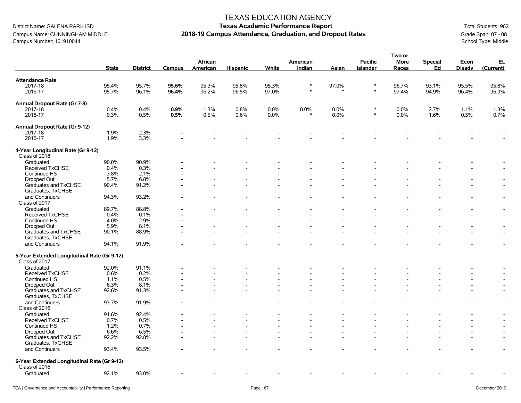Campus Number: 101910044 School Type: Middle

### District Name: GALENA PARK ISD **Texas Academic Performance Report** Total Students: 962

**Two or**

## Campus Name: CUNNINGHAM MIDDLE **2018-19 Campus Attendance, Graduation, and Dropout Rates** Grade Span: 07 - 08

**State District Campus African American Hispanic White American Indian Asian Pacific Islander More Races Special Ed Econ Disadv EL (Current) Attendance Rate** 2017-18 95.4% 95.7% **95.6%** 95.3% 95.8% 95.3% \* 97.0% \* 96.7% 93.1% 95.5% 95.8% 2016-17 95.7% 96.1% **96.4%** 96.2% 96.5% 97.0% \* \* \* 97.4% 94.9% 96.4% 96.9% **Annual Dropout Rate (Gr 7-8)** 2017-18 0.4% 0.4% **0.9%** 1.3% 0.8% 0.0% 0.0% 0.0% \* 0.0% 2.7% 1.1% 1.3% 2016-17 0.3% 0.5% **0.5%** 0.5% 0.6% 0.0% \* 0.0% \* 0.0% 1.6% 0.5% 0.7% **Annual Dropout Rate (Gr 9-12)** 2017-18 1.9% 2.3% **-** - - - - - - - - - - 2016-17 1.9% 3.3% **-** - - - - - - - - - - **4-Year Longitudinal Rate (Gr 9-12)** Class of 2018 Graduated 90.0% 90.9% **-** - - - - - - - - - - Received TxCHSE 0.4% 0.3% **-** - - - - - - - - - - Continued HS 3.8% 2.1% **-** - - - - - - - - - - Dropped Out 5.7% 6.8% **-** - - - - - - - - - - Graduates and TxCHSE 90.4% 91.2% **-** - - - - - - - - - - Graduates, TxCHSE, and Continuers 94.3% 93.2% **-** - - - - - - - - - - Class of 2017 Graduated 89.7% 88.8% **-** - - - - - - - - - - Received TxCHSE 0.4% 0.1% **-** - - - - - - - - - - Continued HS 4.0% 2.9% **-** - - - - - - - - - - Dropped Out 5.9% 8.1% **-** - - - - - - - - - - Graduates and TxCHSE 90.1% 88.9% **-** - - - - - - - - - - Graduates, TxCHSE, and Continuers 94.1% 91.9% **-** - - - - - - - - - - **5-Year Extended Longitudinal Rate (Gr 9-12)** Class of 2017 Graduated 92.0% 91.1% **-** - - - - - - - - - - Received TxCHSE 0.6% 0.2% **-** - - - - - - - - - - Continued HS 1.1% 0.5% **-** - - - - - - - - - - Dropped Out 6.3% 8.1% **-** - - - - - - - - - - Graduates and TxCHSE 92.6% 91.3% **-** - - - - - - - - - - Graduates, TxCHSE, and Continuers 93.7% 91.9% **-** - - - - - - - - - - Class of 2016 Graduated 91.6% 92.4% **-** - - - - - - - - - - Received TxCHSE 0.7% 0.5% **-** - - - - - - - - - - Continued HS 1.2% 0.7% **-** - - - - - - - - - - Dropped Out 6.6% 6.5% **-** - - - - - - - - - - Graduates and TxCHSE 92.2% 92.8% **-** - - - - - - - - - - Graduates, TxCHSE, and Continuers 93.4% 93.5% **-** - - - - - - - - - - **6-Year Extended Longitudinal Rate (Gr 9-12)** Class of 2016 Graduated 92.1% 93.0% **-** - - - - - - - - - -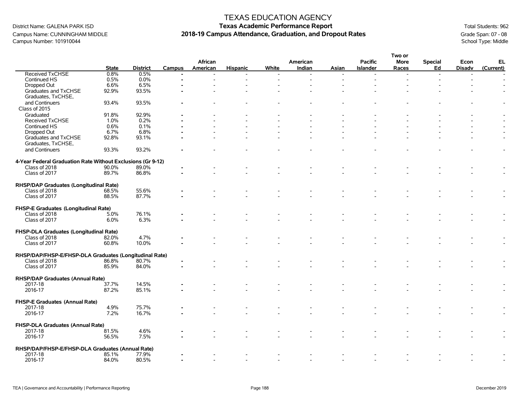Campus Name: CUNNINGHAM MIDDLE **2018-19 Campus Attendance, Graduation, and Dropout Rates** Grade Span: 07 - 08<br>Campus Number: 101910044 School Type: Middle Campus Number: 101910044

|                                                             |              |                 |        |          |                 |       |               |       |                 | Two or      |                          |               |           |
|-------------------------------------------------------------|--------------|-----------------|--------|----------|-----------------|-------|---------------|-------|-----------------|-------------|--------------------------|---------------|-----------|
|                                                             |              |                 |        | African  |                 |       | American      |       | Pacific         | <b>More</b> | <b>Special</b>           | Econ          | EL        |
|                                                             | <b>State</b> | <b>District</b> | Campus | American | <b>Hispanic</b> | White | <b>Indian</b> | Asian | <b>Islander</b> | Races       | Ed                       | <b>Disadv</b> | (Current) |
| Received TxCHSE                                             | 0.8%         | 0.5%            |        |          |                 |       |               |       |                 |             | $\overline{\phantom{a}}$ |               |           |
| Continued HS                                                | 0.5%         | 0.0%            |        |          |                 |       |               |       |                 |             |                          |               |           |
| Dropped Out                                                 | 6.6%         | 6.5%            |        |          |                 |       |               |       |                 |             |                          |               |           |
| Graduates and TxCHSE                                        | 92.9%        | 93.5%           |        |          |                 |       |               |       |                 |             |                          |               |           |
| Graduates, TxCHSE,                                          |              |                 |        |          |                 |       |               |       |                 |             |                          |               |           |
| and Continuers                                              | 93.4%        | 93.5%           |        |          |                 |       |               |       |                 |             |                          |               |           |
| Class of 2015                                               |              |                 |        |          |                 |       |               |       |                 |             |                          |               |           |
| Graduated                                                   | 91.8%        | 92.9%           |        |          |                 |       |               |       |                 |             |                          |               |           |
| Received TxCHSE                                             | 1.0%         | 0.2%            |        |          |                 |       |               |       |                 |             |                          |               |           |
| Continued HS                                                | 0.6%         | 0.1%            |        |          |                 |       |               |       |                 |             |                          |               |           |
| Dropped Out                                                 | 6.7%         | 6.8%            |        |          |                 |       |               |       |                 |             |                          |               |           |
| Graduates and TxCHSE                                        | 92.8%        | 93.1%           |        |          |                 |       |               |       |                 |             |                          |               |           |
|                                                             |              |                 |        |          |                 |       |               |       |                 |             |                          |               |           |
| Graduates, TxCHSE,                                          |              |                 |        |          |                 |       |               |       |                 |             |                          |               |           |
| and Continuers                                              | 93.3%        | 93.2%           |        |          |                 |       |               |       |                 |             |                          |               |           |
|                                                             |              |                 |        |          |                 |       |               |       |                 |             |                          |               |           |
| 4-Year Federal Graduation Rate Without Exclusions (Gr 9-12) |              |                 |        |          |                 |       |               |       |                 |             |                          |               |           |
| Class of 2018                                               | 90.0%        | 89.0%           |        |          |                 |       |               |       |                 |             |                          |               |           |
| Class of 2017                                               | 89.7%        | 86.8%           |        |          |                 |       |               |       |                 |             |                          |               |           |
|                                                             |              |                 |        |          |                 |       |               |       |                 |             |                          |               |           |
| RHSP/DAP Graduates (Longitudinal Rate)                      |              |                 |        |          |                 |       |               |       |                 |             |                          |               |           |
| Class of 2018                                               | 68.5%        | 55.6%           |        |          |                 |       |               |       |                 |             |                          |               |           |
| Class of 2017                                               | 88.5%        | 87.7%           |        |          |                 |       |               |       |                 |             |                          |               |           |
|                                                             |              |                 |        |          |                 |       |               |       |                 |             |                          |               |           |
| FHSP-E Graduates (Longitudinal Rate)                        |              |                 |        |          |                 |       |               |       |                 |             |                          |               |           |
| Class of 2018                                               | 5.0%         | 76.1%           |        |          |                 |       |               |       |                 |             |                          |               |           |
| Class of 2017                                               | 6.0%         | 6.3%            |        |          |                 |       |               |       |                 |             |                          |               |           |
|                                                             |              |                 |        |          |                 |       |               |       |                 |             |                          |               |           |
| FHSP-DLA Graduates (Longitudinal Rate)                      |              |                 |        |          |                 |       |               |       |                 |             |                          |               |           |
| Class of 2018                                               | 82.0%        | 4.7%            |        |          |                 |       |               |       |                 |             |                          |               |           |
| Class of 2017                                               | 60.8%        | 10.0%           |        |          |                 |       |               |       |                 |             |                          |               |           |
|                                                             |              |                 |        |          |                 |       |               |       |                 |             |                          |               |           |
|                                                             |              |                 |        |          |                 |       |               |       |                 |             |                          |               |           |
| RHSP/DAP/FHSP-E/FHSP-DLA Graduates (Longitudinal Rate)      |              |                 |        |          |                 |       |               |       |                 |             |                          |               |           |
| Class of 2018                                               | 86.8%        | 80.7%           |        |          |                 |       |               |       |                 |             |                          |               |           |
| Class of 2017                                               | 85.9%        | 84.0%           |        |          |                 |       |               |       |                 |             |                          |               |           |
|                                                             |              |                 |        |          |                 |       |               |       |                 |             |                          |               |           |
| <b>RHSP/DAP Graduates (Annual Rate)</b>                     |              |                 |        |          |                 |       |               |       |                 |             |                          |               |           |
| 2017-18                                                     | 37.7%        | 14.5%           |        |          |                 |       |               |       |                 |             |                          |               |           |
| 2016-17                                                     | 87.2%        | 85.1%           |        |          |                 |       |               |       |                 |             |                          |               |           |
|                                                             |              |                 |        |          |                 |       |               |       |                 |             |                          |               |           |
| FHSP-E Graduates (Annual Rate)                              |              |                 |        |          |                 |       |               |       |                 |             |                          |               |           |
| 2017-18                                                     | 4.9%         | 75.7%           |        |          |                 |       |               |       |                 |             |                          |               |           |
| 2016-17                                                     | 7.2%         | 16.7%           |        |          |                 |       |               |       |                 |             |                          |               |           |
|                                                             |              |                 |        |          |                 |       |               |       |                 |             |                          |               |           |
| FHSP-DLA Graduates (Annual Rate)                            |              |                 |        |          |                 |       |               |       |                 |             |                          |               |           |
| 2017-18                                                     | 81.5%        | 4.6%            |        |          |                 |       |               |       |                 |             |                          |               |           |
| 2016-17                                                     | 56.5%        | 7.5%            |        |          |                 |       |               |       |                 |             |                          |               |           |
|                                                             |              |                 |        |          |                 |       |               |       |                 |             |                          |               |           |
| RHSP/DAP/FHSP-E/FHSP-DLA Graduates (Annual Rate)            |              |                 |        |          |                 |       |               |       |                 |             |                          |               |           |
|                                                             |              |                 |        |          |                 |       |               |       |                 |             |                          |               |           |
| 2017-18                                                     | 85.1%        | 77.9%<br>80.5%  |        |          |                 |       |               |       |                 |             |                          |               |           |
| 2016-17                                                     | 84.0%        |                 |        |          |                 |       |               |       |                 |             |                          |               |           |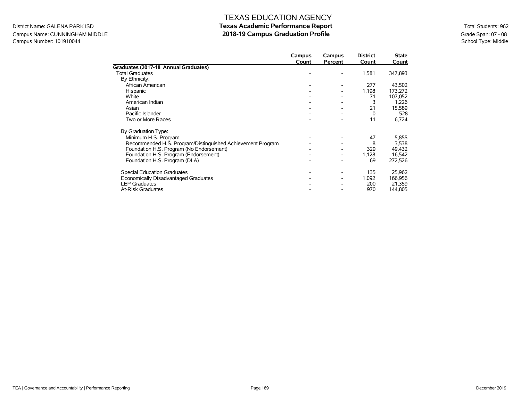## District Name: GALENA PARK ISD **Texas Academic Performance Report** Total Students: 962

Campus Name: CUNNINGHAM MIDDLE **2018-19 Campus Graduation Profile** Graduation Profile Grade Span: 07 - 08<br>Campus Number: 101910044 School Type: Middle Campus Number: 101910044

|                                                            | Campus<br>Count | Campus<br>Percent | <b>District</b><br>Count | <b>State</b><br>Count |
|------------------------------------------------------------|-----------------|-------------------|--------------------------|-----------------------|
| Graduates (2017-18 Annual Graduates)                       |                 |                   |                          |                       |
| <b>Total Graduates</b>                                     |                 |                   | 1,581                    | 347,893               |
| By Ethnicity:                                              |                 |                   |                          |                       |
| African American                                           |                 |                   | 277                      | 43,502                |
| Hispanic                                                   |                 |                   | 1,198                    | 173,272               |
| White                                                      |                 |                   | 71                       | 107,052               |
| American Indian                                            |                 |                   |                          | 1,226                 |
| Asian                                                      |                 |                   | 21                       | 15,589                |
| Pacific Islander                                           |                 |                   | 0                        | 528                   |
| Two or More Races                                          |                 |                   | 11                       | 6,724                 |
| By Graduation Type:                                        |                 |                   |                          |                       |
| Minimum H.S. Program                                       |                 |                   | 47                       | 5,855                 |
| Recommended H.S. Program/Distinguished Achievement Program |                 |                   | 8                        | 3,538                 |
| Foundation H.S. Program (No Endorsement)                   |                 |                   | 329                      | 49,432                |
| Foundation H.S. Program (Endorsement)                      |                 |                   | 1,128                    | 16,542                |
| Foundation H.S. Program (DLA)                              |                 |                   | 69                       | 272,526               |
| <b>Special Education Graduates</b>                         |                 |                   | 135                      | 25,962                |
| Economically Disadvantaged Graduates                       |                 |                   | 1,092                    | 166,956               |
| <b>LEP Graduates</b>                                       |                 |                   | 200                      | 21,359                |
| <b>At-Risk Graduates</b>                                   |                 |                   | 970                      | 144,805               |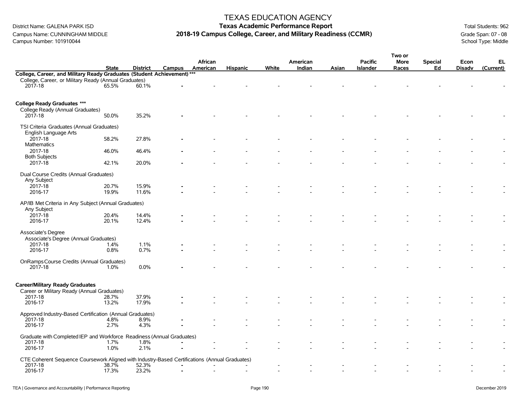Campus Name: CUNNINGHAM MIDDLE **2018-19 Campus College, Career, and Military Readiness (CCMR)** Grade Span: 07 - 08<br>Campus Number: 101910044 School Type: Middle Campus Number: 101910044

|                                                                                                |              |                 |        |          |                 |       |          |       |                 | Two or      |                |               |           |
|------------------------------------------------------------------------------------------------|--------------|-----------------|--------|----------|-----------------|-------|----------|-------|-----------------|-------------|----------------|---------------|-----------|
|                                                                                                |              |                 |        | African  |                 |       | American |       | <b>Pacific</b>  | <b>More</b> | <b>Special</b> | Econ          | EL        |
|                                                                                                | <b>State</b> | <b>District</b> | Campus | American | <b>Hispanic</b> | White | Indian   | Asian | <b>Islander</b> | Races       | Ed             | <b>Disadv</b> | (Current) |
| College, Career, and Military Ready Graduates (Student Achievement) ***                        |              |                 |        |          |                 |       |          |       |                 |             |                |               |           |
| College, Career, or Military Ready (Annual Graduates)                                          |              |                 |        |          |                 |       |          |       |                 |             |                |               |           |
| 2017-18                                                                                        | 65.5%        | 60.1%           |        |          |                 |       |          |       |                 |             |                |               |           |
|                                                                                                |              |                 |        |          |                 |       |          |       |                 |             |                |               |           |
| <b>College Ready Graduates ***</b>                                                             |              |                 |        |          |                 |       |          |       |                 |             |                |               |           |
| College Ready (Annual Graduates)                                                               |              |                 |        |          |                 |       |          |       |                 |             |                |               |           |
| 2017-18                                                                                        | 50.0%        | 35.2%           |        |          |                 |       |          |       |                 |             |                |               |           |
| TSI Criteria Graduates (Annual Graduates)<br>English Language Arts                             |              |                 |        |          |                 |       |          |       |                 |             |                |               |           |
| 2017-18                                                                                        | 58.2%        | 27.8%           |        |          |                 |       |          |       |                 |             |                |               |           |
| Mathematics                                                                                    |              |                 |        |          |                 |       |          |       |                 |             |                |               |           |
| 2017-18<br><b>Both Subjects</b>                                                                | 46.0%        | 46.4%           |        |          |                 |       |          |       |                 |             |                |               |           |
| 2017-18                                                                                        | 42.1%        | 20.0%           |        |          |                 |       |          |       |                 |             |                |               |           |
| Dual Course Credits (Annual Graduates)<br>Any Subject                                          |              |                 |        |          |                 |       |          |       |                 |             |                |               |           |
| 2017-18                                                                                        | 20.7%        | 15.9%           |        |          |                 |       |          |       |                 |             |                |               |           |
| 2016-17                                                                                        | 19.9%        | 11.6%           |        |          |                 |       |          |       |                 |             |                |               |           |
|                                                                                                |              |                 |        |          |                 |       |          |       |                 |             |                |               |           |
| AP/IB Met Criteria in Any Subject (Annual Graduates)<br>Any Subject                            |              |                 |        |          |                 |       |          |       |                 |             |                |               |           |
| 2017-18                                                                                        | 20.4%        | 14.4%           |        |          |                 |       |          |       |                 |             |                |               |           |
| 2016-17                                                                                        | 20.1%        | 12.4%           |        |          |                 |       |          |       |                 |             |                |               |           |
| Associate's Degree                                                                             |              |                 |        |          |                 |       |          |       |                 |             |                |               |           |
| Associate's Degree (Annual Graduates)                                                          |              |                 |        |          |                 |       |          |       |                 |             |                |               |           |
| 2017-18                                                                                        | 1.4%         | 1.1%            |        |          |                 |       |          |       |                 |             |                |               |           |
| 2016-17                                                                                        | 0.8%         | 0.7%            |        |          |                 |       |          |       |                 |             |                |               |           |
|                                                                                                |              |                 |        |          |                 |       |          |       |                 |             |                |               |           |
| OnRamps Course Credits (Annual Graduates)<br>2017-18                                           | 1.0%         | 0.0%            |        |          |                 |       |          |       |                 |             |                |               |           |
|                                                                                                |              |                 |        |          |                 |       |          |       |                 |             |                |               |           |
| <b>Career/Military Ready Graduates</b>                                                         |              |                 |        |          |                 |       |          |       |                 |             |                |               |           |
| Career or Military Ready (Annual Graduates)                                                    |              |                 |        |          |                 |       |          |       |                 |             |                |               |           |
|                                                                                                |              |                 |        |          |                 |       |          |       |                 |             |                |               |           |
| 2017-18                                                                                        | 28.7%        | 37.9%           |        |          |                 |       |          |       |                 |             |                |               |           |
| 2016-17                                                                                        | 13.2%        | 17.9%           |        |          |                 |       |          |       |                 |             |                |               |           |
| Approved Industry-Based Certification (Annual Graduates)                                       |              |                 |        |          |                 |       |          |       |                 |             |                |               |           |
| 2017-18                                                                                        | 4.8%         | 8.9%            |        |          |                 |       |          |       |                 |             |                |               |           |
| 2016-17                                                                                        | 2.7%         | 4.3%            |        |          |                 |       |          |       |                 |             |                |               |           |
|                                                                                                |              |                 |        |          |                 |       |          |       |                 |             |                |               |           |
| Graduate with Completed IEP and Workforce Readiness (Annual Graduates)                         |              |                 |        |          |                 |       |          |       |                 |             |                |               |           |
| 2017-18                                                                                        | 1.7%         | 1.8%            |        |          |                 |       |          |       |                 |             |                |               |           |
| 2016-17                                                                                        | 1.0%         | 2.1%            |        |          |                 |       |          |       |                 |             |                |               |           |
| CTE Coherent Sequence Coursework Aligned with Industry-Based Certifications (Annual Graduates) |              |                 |        |          |                 |       |          |       |                 |             |                |               |           |
| 2017-18                                                                                        | 38.7%        | 52.3%           |        |          |                 |       |          |       |                 |             |                |               |           |
| 2016-17                                                                                        | 17.3%        | 23.2%           |        |          |                 |       |          |       |                 |             |                |               |           |
|                                                                                                |              |                 |        |          |                 |       |          |       |                 |             |                |               |           |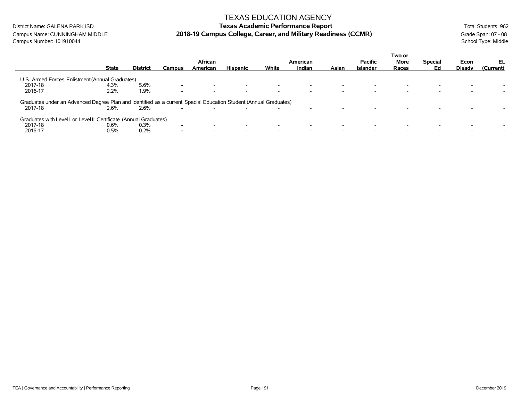Campus Name: CUNNINGHAM MIDDLE **2018-19 Campus College, Career, and Military Readiness (CCMR)** Grade Span: 07 - 08<br>Campus Number: 101910044 School Type: Middle Campus Number: 101910044

|                                                                                                                  |              |                 |                          | African                  |                 |                          | American                 |       | <b>Pacific</b> | Two or<br>More | <b>Special</b> | Econ          | EL        |
|------------------------------------------------------------------------------------------------------------------|--------------|-----------------|--------------------------|--------------------------|-----------------|--------------------------|--------------------------|-------|----------------|----------------|----------------|---------------|-----------|
|                                                                                                                  | <b>State</b> | <b>District</b> | Campus                   | American                 | <b>Hispanic</b> | White                    | Indian                   | Asian | Islander       | Races          | Ed             | <b>Disadv</b> | (Current) |
| U.S. Armed Forces Enlistment (Annual Graduates)                                                                  |              |                 |                          |                          |                 |                          |                          |       |                |                |                |               |           |
| 2017-18                                                                                                          | 4.3%         | 5.6%            | $\blacksquare$           |                          |                 | $\overline{\phantom{0}}$ | $\overline{\phantom{a}}$ |       |                | $\sim$         |                |               |           |
| 2016-17                                                                                                          | 2.2%         | 1.9%            | $\sim$                   | $\overline{\phantom{0}}$ |                 | -                        |                          |       |                |                |                |               |           |
| Graduates under an Advanced Degree Plan and Identified as a current Special Education Student (Annual Graduates) |              |                 |                          |                          |                 |                          |                          |       |                |                |                |               |           |
| 2017-18                                                                                                          | 2.6%         | 2.6%            | $\sim$                   |                          |                 | -                        |                          |       |                |                |                |               |           |
| Graduates with Level I or Level II Certificate (Annual Graduates)                                                |              |                 |                          |                          |                 |                          |                          |       |                |                |                |               |           |
| 2017-18                                                                                                          | $0.6\%$      | 0.3%            | $\overline{\phantom{a}}$ | $\sim$                   |                 | -                        |                          |       |                |                |                |               |           |
| 2016-17                                                                                                          | $0.5\%$      | 0.2%            | $\sim$                   | $\overline{\phantom{0}}$ | -               | -                        |                          |       |                |                |                |               |           |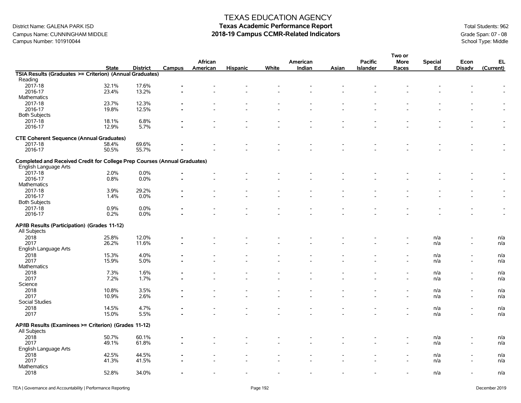Campus Name: CUNNINGHAM MIDDLE **2018-19 Campus CCMR-Related Indicators** Grade Span: 07 - 08<br>Campus Number: 101910044<br>School Type: Middle Campus Number: 101910044

### TEXAS EDUCATION AGENCY

## District Name: GALENA PARK ISD **Texas Academic Performance Report** Total Students: 962

**Two or**

|                                                                                  |              |                 |        | African  |                 |       | American |       | <b>Pacific</b> | <b>More</b> | <b>Special</b> | Econ                     | <b>EL</b>      |
|----------------------------------------------------------------------------------|--------------|-----------------|--------|----------|-----------------|-------|----------|-------|----------------|-------------|----------------|--------------------------|----------------|
|                                                                                  | <b>State</b> | <b>District</b> | Campus | American | <b>Hispanic</b> | White | Indian   | Asian | Islander       | Races       | Ed             | <b>Disadv</b>            | (Current)      |
| TSIA Results (Graduates >= Criterion) (Annual Graduates)                         |              |                 |        |          |                 |       |          |       |                |             |                |                          |                |
| Reading                                                                          |              |                 |        |          |                 |       |          |       |                |             |                |                          |                |
| 2017-18                                                                          | 32.1%        | 17.6%           |        |          |                 |       |          |       |                |             |                |                          |                |
| 2016-17                                                                          | 23.4%        | 13.2%           |        |          |                 |       |          |       |                |             |                |                          |                |
| <b>Mathematics</b>                                                               |              |                 |        |          |                 |       |          |       |                |             |                |                          |                |
| 2017-18                                                                          | 23.7%        | 12.3%           |        |          |                 |       |          |       |                |             |                |                          |                |
| 2016-17                                                                          | 19.8%        | 12.5%           |        |          |                 |       |          |       |                |             |                |                          |                |
| <b>Both Subjects</b>                                                             |              |                 |        |          |                 |       |          |       |                |             |                |                          |                |
| 2017-18                                                                          | 18.1%        | 6.8%            |        |          |                 |       |          |       |                |             |                |                          |                |
| 2016-17                                                                          | 12.9%        | 5.7%            |        |          |                 |       |          |       |                |             |                |                          | $\overline{a}$ |
|                                                                                  |              |                 |        |          |                 |       |          |       |                |             |                |                          |                |
| <b>CTE Coherent Sequence (Annual Graduates)</b>                                  |              |                 |        |          |                 |       |          |       |                |             |                |                          |                |
| 2017-18                                                                          | 58.4%        | 69.6%           |        |          |                 |       |          |       |                |             |                |                          |                |
| 2016-17                                                                          | 50.5%        | 55.7%           |        |          |                 |       |          |       |                |             |                |                          | L,             |
|                                                                                  |              |                 |        |          |                 |       |          |       |                |             |                |                          |                |
| <b>Completed and Received Credit for College Prep Courses (Annual Graduates)</b> |              |                 |        |          |                 |       |          |       |                |             |                |                          |                |
| English Language Arts                                                            |              |                 |        |          |                 |       |          |       |                |             |                |                          |                |
| 2017-18                                                                          | 2.0%         | 0.0%            |        |          |                 |       |          |       |                |             |                |                          |                |
| 2016-17                                                                          | 0.8%         | 0.0%            |        |          |                 |       |          |       |                |             |                |                          | $\overline{a}$ |
| Mathematics                                                                      |              |                 |        |          |                 |       |          |       |                |             |                |                          |                |
| 2017-18                                                                          | 3.9%         | 29.2%           |        |          |                 |       |          |       |                |             |                |                          |                |
| 2016-17                                                                          | 1.4%         | 0.0%            |        |          |                 |       |          |       |                |             |                |                          |                |
| <b>Both Subjects</b>                                                             |              |                 |        |          |                 |       |          |       |                |             |                |                          |                |
| 2017-18                                                                          | 0.9%         | 0.0%            |        |          |                 |       |          |       |                |             |                |                          |                |
| 2016-17                                                                          | 0.2%         | 0.0%            |        |          |                 |       |          |       |                |             |                |                          |                |
|                                                                                  |              |                 |        |          |                 |       |          |       |                |             |                |                          |                |
| AP/IB Results (Participation) (Grades 11-12)                                     |              |                 |        |          |                 |       |          |       |                |             |                |                          |                |
| All Subjects                                                                     |              |                 |        |          |                 |       |          |       |                |             |                |                          |                |
| 2018                                                                             | 25.8%        | 12.0%           |        |          |                 |       |          |       |                |             | n/a            | $\overline{\phantom{a}}$ | n/a            |
| 2017                                                                             | 26.2%        | 11.6%           |        |          |                 |       |          |       |                |             | n/a            | $\blacksquare$           | n/a            |
| English Language Arts                                                            |              |                 |        |          |                 |       |          |       |                |             |                |                          |                |
| 2018                                                                             | 15.3%        | 4.0%            |        |          |                 |       |          |       |                |             | n/a            | $\overline{\phantom{a}}$ |                |
| 2017                                                                             | 15.9%        | 5.0%            |        |          |                 |       |          |       |                |             | n/a            | $\blacksquare$           | n/a<br>n/a     |
| Mathematics                                                                      |              |                 |        |          |                 |       |          |       |                |             |                |                          |                |
|                                                                                  |              |                 |        |          |                 |       |          |       |                |             |                |                          |                |
| 2018                                                                             | 7.3%         | 1.6%            |        |          |                 |       |          |       |                |             | n/a            | $\overline{\phantom{a}}$ | n/a            |
| 2017                                                                             | 7.2%         | 1.7%            |        |          |                 |       |          |       |                |             | n/a            | $\overline{a}$           | n/a            |
| Science                                                                          |              |                 |        |          |                 |       |          |       |                |             |                |                          |                |
| 2018                                                                             | 10.8%        | 3.5%            |        |          |                 |       |          |       |                |             | n/a            |                          | n/a            |
| 2017                                                                             | 10.9%        | 2.6%            |        |          |                 |       |          |       |                |             | n/a            | $\blacksquare$           | n/a            |
| Social Studies                                                                   |              |                 |        |          |                 |       |          |       |                |             |                |                          |                |
| 2018                                                                             | 14.5%        | 4.7%            |        |          |                 |       |          |       |                |             | n/a            | $\overline{\phantom{a}}$ | n/a            |
| 2017                                                                             | 15.0%        | 5.5%            |        |          |                 |       |          |       |                | $\sim$      | n/a            | $\overline{\phantom{a}}$ | n/a            |
|                                                                                  |              |                 |        |          |                 |       |          |       |                |             |                |                          |                |
| AP/IB Results (Examinees >= Criterion) (Grades 11-12)                            |              |                 |        |          |                 |       |          |       |                |             |                |                          |                |
| All Subjects                                                                     |              |                 |        |          |                 |       |          |       |                |             |                |                          |                |
| 2018                                                                             | 50.7%        | 60.1%           |        |          |                 |       |          |       |                |             | n/a            |                          | n/a            |
| 2017                                                                             | 49.1%        | 61.8%           |        |          |                 |       |          |       |                |             | n/a            | ٠                        | n/a            |
| English Language Arts                                                            |              |                 |        |          |                 |       |          |       |                |             |                |                          |                |
| 2018                                                                             | 42.5%        | 44.5%           |        |          |                 |       |          |       |                |             | n/a            | ۰                        | n/a            |
| 2017                                                                             | 41.3%        | 41.5%           |        |          |                 |       |          |       |                |             | n/a            | $\blacksquare$           | n/a            |
| Mathematics                                                                      |              |                 |        |          |                 |       |          |       |                |             |                |                          |                |
| 2018                                                                             | 52.8%        | 34.0%           |        |          |                 |       |          |       |                |             | n/a            |                          | n/a            |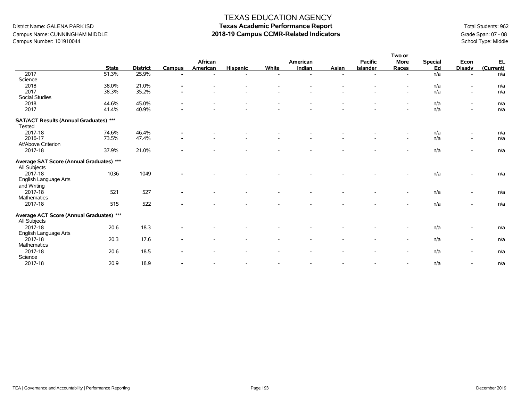### District Name: GALENA PARK ISD **Texas Academic Performance Report** Total Students: 962 Campus Name: CUNNINGHAM MIDDLE **2018-19 Campus CCMR-Related Indicators** Grade Span: 07 - 08<br>Campus Number: 101910044<br>School Type: Middle Campus Number: 101910044

|                                               |                       |                          |                |                                      |                                             |       |                          |       |                                             | Two or                   |                |                          |                  |
|-----------------------------------------------|-----------------------|--------------------------|----------------|--------------------------------------|---------------------------------------------|-------|--------------------------|-------|---------------------------------------------|--------------------------|----------------|--------------------------|------------------|
|                                               |                       |                          |                | African                              |                                             |       | American                 |       | <b>Pacific</b>                              | More                     | <b>Special</b> | Econ                     | EL               |
| 2017                                          | <b>State</b><br>51.3% | <b>District</b><br>25.9% | <b>Campus</b>  | American<br>$\overline{\phantom{a}}$ | <b>Hispanic</b><br>$\overline{\phantom{a}}$ | White | Indian<br>$\blacksquare$ | Asian | <b>Islander</b><br>$\overline{\phantom{a}}$ | Races                    | Ed<br>n/a      | <b>Disadv</b>            | (Current)<br>n/a |
| Science                                       |                       |                          |                |                                      |                                             |       |                          |       |                                             |                          |                |                          |                  |
| 2018                                          | 38.0%                 | 21.0%                    |                |                                      |                                             |       |                          |       |                                             |                          | n/a            |                          |                  |
| 2017                                          | 38.3%                 | 35.2%                    |                |                                      |                                             |       |                          |       |                                             | $\overline{\phantom{a}}$ | n/a            | $\blacksquare$           | n/a<br>n/a       |
| Social Studies                                |                       |                          |                |                                      |                                             |       |                          |       |                                             |                          |                |                          |                  |
| 2018                                          | 44.6%                 | 45.0%                    |                |                                      |                                             |       |                          |       |                                             |                          |                |                          |                  |
| 2017                                          |                       | 40.9%                    |                |                                      |                                             |       |                          |       |                                             |                          | n/a            | $\overline{\phantom{0}}$ | n/a              |
|                                               | 41.4%                 |                          |                |                                      |                                             |       |                          |       |                                             |                          | n/a            | $\blacksquare$           | n/a              |
| <b>SAT/ACT Results (Annual Graduates) ***</b> |                       |                          |                |                                      |                                             |       |                          |       |                                             |                          |                |                          |                  |
| Tested                                        |                       |                          |                |                                      |                                             |       |                          |       |                                             |                          |                |                          |                  |
| 2017-18                                       | 74.6%                 | 46.4%                    |                |                                      |                                             |       |                          |       |                                             |                          | n/a            |                          | n/a              |
| 2016-17                                       | 73.5%                 | 47.4%                    |                |                                      |                                             |       |                          |       |                                             |                          | n/a            | $\overline{\phantom{a}}$ | n/a              |
| At/Above Criterion                            |                       |                          |                |                                      |                                             |       |                          |       |                                             |                          |                |                          |                  |
| 2017-18                                       | 37.9%                 | 21.0%                    |                |                                      |                                             |       |                          |       |                                             |                          | n/a            | $\overline{\phantom{a}}$ | n/a              |
| Average SAT Score (Annual Graduates) ***      |                       |                          |                |                                      |                                             |       |                          |       |                                             |                          |                |                          |                  |
| All Subjects                                  |                       |                          |                |                                      |                                             |       |                          |       |                                             |                          |                |                          |                  |
| 2017-18                                       | 1036                  | 1049                     |                |                                      |                                             |       |                          |       |                                             | $\overline{\phantom{a}}$ | n/a            | $\overline{\phantom{a}}$ | n/a              |
| English Language Arts                         |                       |                          |                |                                      |                                             |       |                          |       |                                             |                          |                |                          |                  |
| and Writing                                   |                       |                          |                |                                      |                                             |       |                          |       |                                             |                          |                |                          |                  |
| 2017-18                                       | 521                   | 527                      | $\blacksquare$ |                                      |                                             |       |                          |       |                                             |                          | n/a            | $\overline{\phantom{a}}$ | n/a              |
| Mathematics                                   |                       |                          |                |                                      |                                             |       |                          |       |                                             |                          |                |                          |                  |
| 2017-18                                       | 515                   | 522                      |                |                                      |                                             |       |                          |       |                                             |                          | n/a            |                          | n/a              |
| Average ACT Score (Annual Graduates) ***      |                       |                          |                |                                      |                                             |       |                          |       |                                             |                          |                |                          |                  |
| All Subjects                                  |                       |                          |                |                                      |                                             |       |                          |       |                                             |                          |                |                          |                  |
| 2017-18                                       | 20.6                  | 18.3                     |                |                                      |                                             |       |                          |       |                                             |                          | n/a            | $\overline{\phantom{a}}$ | n/a              |
| English Language Arts                         |                       |                          |                |                                      |                                             |       |                          |       |                                             |                          |                |                          |                  |
| 2017-18                                       | 20.3                  | 17.6                     | $\blacksquare$ |                                      |                                             |       |                          |       |                                             |                          | n/a            | $\overline{\phantom{a}}$ | n/a              |
| Mathematics                                   |                       |                          |                |                                      |                                             |       |                          |       |                                             |                          |                |                          |                  |
| 2017-18                                       | 20.6                  | 18.5                     |                |                                      |                                             |       |                          |       |                                             | $\overline{\phantom{a}}$ | n/a            | $\overline{\phantom{a}}$ | n/a              |
| Science                                       |                       |                          |                |                                      |                                             |       |                          |       |                                             |                          |                |                          |                  |
| 2017-18                                       | 20.9                  | 18.9                     |                |                                      |                                             |       |                          |       |                                             |                          | n/a            |                          | n/a              |
|                                               |                       |                          |                |                                      |                                             |       |                          |       |                                             |                          |                |                          |                  |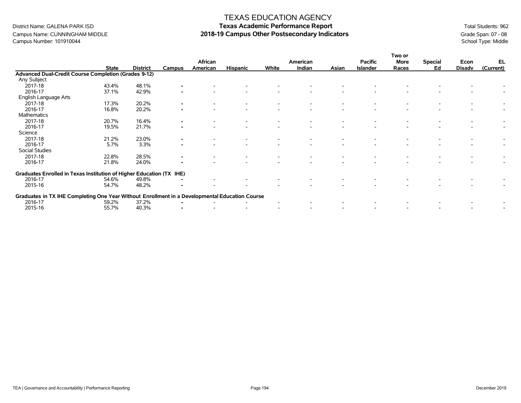Campus Name: CUNNINGHAM MIDDLE **2018-19 Campus Other Postsecondary Indicators** Grade Span: 07 - 08 Grade Span: 07<br>Campus Number: 101910044 School Type: Middle Campus Number: 101910044

|                                                                                                |              |                 |                | African  |                 |       | American |       | <b>Pacific</b>  | Two or<br>More | <b>Special</b> |                       |                 |
|------------------------------------------------------------------------------------------------|--------------|-----------------|----------------|----------|-----------------|-------|----------|-------|-----------------|----------------|----------------|-----------------------|-----------------|
|                                                                                                | <b>State</b> | <b>District</b> | Campus         | American | <b>Hispanic</b> | White | Indian   | Asian | <b>Islander</b> | Races          | Ed             | Econ<br><b>Disadv</b> | EL<br>(Current) |
| Advanced Dual-Credit Course Completion (Grades 9-12)                                           |              |                 |                |          |                 |       |          |       |                 |                |                |                       |                 |
| Any Subject                                                                                    |              |                 |                |          |                 |       |          |       |                 |                |                |                       |                 |
| 2017-18                                                                                        | 43.4%        | 48.1%           |                |          |                 |       |          |       |                 |                |                |                       |                 |
| 2016-17                                                                                        | 37.1%        | 42.9%           |                |          |                 |       |          |       |                 |                |                |                       |                 |
| English Language Arts                                                                          |              |                 |                |          |                 |       |          |       |                 |                |                |                       |                 |
| 2017-18                                                                                        | 17.3%        | 20.2%           |                |          |                 |       |          |       |                 |                |                |                       |                 |
| 2016-17                                                                                        | 16.8%        | 20.2%           |                |          |                 |       |          |       |                 |                |                |                       |                 |
| Mathematics                                                                                    |              |                 |                |          |                 |       |          |       |                 |                |                |                       |                 |
| 2017-18                                                                                        | 20.7%        | 16.4%           |                |          |                 |       |          |       |                 |                |                |                       |                 |
| 2016-17                                                                                        | 19.5%        | 21.7%           |                |          |                 |       |          |       |                 |                |                |                       |                 |
| Science                                                                                        |              |                 |                |          |                 |       |          |       |                 |                |                |                       |                 |
| 2017-18                                                                                        | 21.2%        | 23.0%           | $\blacksquare$ |          |                 |       |          |       |                 |                |                |                       |                 |
| 2016-17                                                                                        | 5.7%         | 3.3%            |                |          |                 |       |          |       |                 |                |                |                       |                 |
| Social Studies                                                                                 |              |                 |                |          |                 |       |          |       |                 |                |                |                       |                 |
| 2017-18                                                                                        | 22.8%        | 28.5%           |                |          |                 |       |          |       |                 |                |                |                       |                 |
| 2016-17                                                                                        | 21.8%        | 24.0%           |                |          |                 |       |          |       |                 |                |                |                       |                 |
| Graduates Enrolled in Texas Institution of Higher Education (TX                                |              |                 | IHE)           |          |                 |       |          |       |                 |                |                |                       |                 |
| 2016-17                                                                                        | 54.6%        | 49.8%           |                |          |                 |       |          |       |                 |                |                |                       |                 |
| 2015-16                                                                                        | 54.7%        | 48.2%           |                |          |                 |       |          |       |                 |                |                |                       |                 |
| Graduates in TX IHE Completing One Year Without Enrollment in a Developmental Education Course |              |                 |                |          |                 |       |          |       |                 |                |                |                       |                 |
| 2016-17                                                                                        | 59.2%        | 37.2%           |                |          |                 |       |          |       |                 |                |                |                       |                 |
| 2015-16                                                                                        | 55.7%        | 40.3%           |                |          |                 |       |          |       |                 |                |                |                       |                 |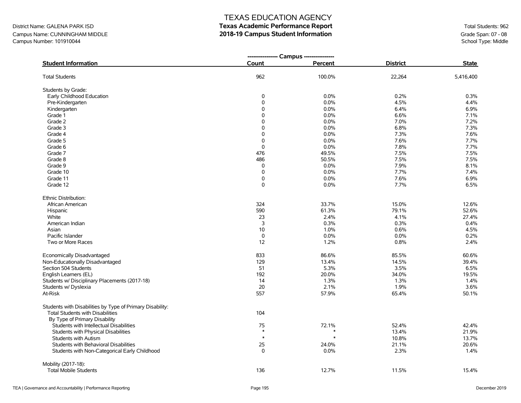## District Name: GALENA PARK ISD **Texas Academic Performance Report** Total Students: 962

Campus Name: CUNNINGHAM MIDDLE **2018-19 Campus Student Information**<br>Campus Number: 101910044<br>School Type: Middle Campus Number: 101910044

| <b>Student Information</b>                                               | Count          | Percent | <b>District</b> | <b>State</b> |
|--------------------------------------------------------------------------|----------------|---------|-----------------|--------------|
| <b>Total Students</b>                                                    | 962            | 100.0%  | 22,264          | 5,416,400    |
| Students by Grade:                                                       |                |         |                 |              |
| Early Childhood Education                                                | $\mathbf 0$    | 0.0%    | 0.2%            | 0.3%         |
| Pre-Kindergarten                                                         | $\mathbf 0$    | 0.0%    | 4.5%            | 4.4%         |
| Kindergarten                                                             | $\mathbf 0$    | 0.0%    | 6.4%            | 6.9%         |
| Grade 1                                                                  | $\mathbf 0$    | 0.0%    | 6.6%            | 7.1%         |
| Grade 2                                                                  | $\mathbf 0$    | 0.0%    | 7.0%            | 7.2%         |
| Grade 3                                                                  | $\pmb{0}$      | 0.0%    | 6.8%            | 7.3%         |
| Grade 4                                                                  | $\mathbf 0$    | 0.0%    | 7.3%            | 7.6%         |
| Grade 5                                                                  | $\mathbf 0$    | 0.0%    | 7.6%            | 7.7%         |
| Grade 6                                                                  | $\mathbf 0$    | 0.0%    | 7.8%            | 7.7%         |
| Grade 7                                                                  | 476            | 49.5%   | 7.5%            | 7.5%         |
| Grade 8                                                                  | 486            | 50.5%   | 7.5%            | 7.5%         |
| Grade 9                                                                  | $\mathbf 0$    | 0.0%    | 7.9%            | 8.1%         |
| Grade 10                                                                 | $\Omega$       | 0.0%    | 7.7%            | 7.4%         |
| Grade 11                                                                 | 0              | 0.0%    | 7.6%            | 6.9%         |
| Grade 12                                                                 | $\mathbf 0$    | 0.0%    | 7.7%            | 6.5%         |
| Ethnic Distribution:                                                     |                |         |                 |              |
| African American                                                         | 324            | 33.7%   | 15.0%           | 12.6%        |
| Hispanic                                                                 | 590            | 61.3%   | 79.1%           | 52.6%        |
| White                                                                    | 23             | 2.4%    | 4.1%            | 27.4%        |
| American Indian                                                          | $\overline{3}$ | 0.3%    | 0.3%            | 0.4%         |
| Asian                                                                    | 10             | 1.0%    | 0.6%            | 4.5%         |
| Pacific Islander                                                         | $\mathbf 0$    | 0.0%    | 0.0%            | 0.2%         |
| Two or More Races                                                        | 12             | 1.2%    | 0.8%            | 2.4%         |
| Economically Disadvantaged                                               | 833            | 86.6%   | 85.5%           | 60.6%        |
| Non-Educationally Disadvantaged                                          | 129            | 13.4%   | 14.5%           | 39.4%        |
| Section 504 Students                                                     | 51             | 5.3%    | 3.5%            | 6.5%         |
| English Learners (EL)                                                    | 192            | 20.0%   | 34.0%           | 19.5%        |
| Students w/ Disciplinary Placements (2017-18)                            | 14             | 1.3%    | 1.3%            | 1.4%         |
| Students w/ Dyslexia                                                     | 20             | 2.1%    | 1.9%            | 3.6%         |
| At-Risk                                                                  | 557            | 57.9%   | 65.4%           | 50.1%        |
| Students with Disabilities by Type of Primary Disability:                |                |         |                 |              |
| <b>Total Students with Disabilities</b><br>By Type of Primary Disability | 104            |         |                 |              |
| Students with Intellectual Disabilities                                  | 75             | 72.1%   | 52.4%           | 42.4%        |
| Students with Physical Disabilities                                      | $\ast$         |         | 13.4%           | 21.9%        |
| <b>Students with Autism</b>                                              | $\ast$         | $\ast$  | 10.8%           | 13.7%        |
| Students with Behavioral Disabilities                                    | 25             | 24.0%   | 21.1%           | 20.6%        |
| Students with Non-Categorical Early Childhood                            | $\mathbf 0$    | 0.0%    | 2.3%            | 1.4%         |
|                                                                          |                |         |                 |              |
| Mobility (2017-18):                                                      |                |         |                 |              |
| <b>Total Mobile Students</b>                                             | 136            | 12.7%   | 11.5%           | 15.4%        |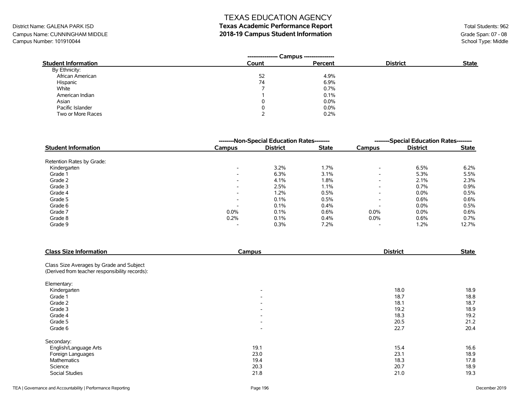## District Name: GALENA PARK ISD **Texas Academic Performance Report** Total Students: 962

Campus Name: CUNNINGHAM MIDDLE **2018-19 Campus Student Information**<br>Campus Number: 101910044<br>School Type: Middle Campus Number: 101910044

|                            | Campus ----------------<br>---------------- |         |                 |              |
|----------------------------|---------------------------------------------|---------|-----------------|--------------|
| <b>Student Information</b> | Count                                       | Percent | <b>District</b> | <b>State</b> |
| By Ethnicity:              |                                             |         |                 |              |
| African American           | 52                                          | 4.9%    |                 |              |
| Hispanic                   | 74                                          | 6.9%    |                 |              |
| White                      |                                             | 0.7%    |                 |              |
| American Indian            |                                             | 0.1%    |                 |              |
| Asian                      |                                             | 0.0%    |                 |              |
| Pacific Islander           | 0                                           | $0.0\%$ |                 |              |
| Two or More Races          |                                             | 0.2%    |                 |              |

|                            |                          | --------Non-Special Education Rates-------- |              |                          | --------Special Education Rates-------- |              |
|----------------------------|--------------------------|---------------------------------------------|--------------|--------------------------|-----------------------------------------|--------------|
| <b>Student Information</b> | Campus                   | <b>District</b>                             | <b>State</b> | Campus                   | <b>District</b>                         | <b>State</b> |
| Retention Rates by Grade:  |                          |                                             |              |                          |                                         |              |
| Kindergarten               | $\overline{\phantom{a}}$ | 3.2%                                        | 1.7%         | $\overline{\phantom{0}}$ | 6.5%                                    | 6.2%         |
| Grade 1                    | $\overline{\phantom{a}}$ | 6.3%                                        | 3.1%         | $\overline{\phantom{0}}$ | 5.3%                                    | 5.5%         |
| Grade 2                    | $\overline{\phantom{a}}$ | 4.1%                                        | 1.8%         | $\overline{\phantom{0}}$ | 2.1%                                    | 2.3%         |
| Grade 3                    | $\overline{\phantom{0}}$ | 2.5%                                        | $1.1\%$      | $\overline{\phantom{0}}$ | 0.7%                                    | 0.9%         |
| Grade 4                    | -                        | $1.2\%$                                     | 0.5%         | $\overline{\phantom{0}}$ | $0.0\%$                                 | 0.5%         |
| Grade 5                    | -                        | 0.1%                                        | $0.5\%$      | $\overline{\phantom{0}}$ | 0.6%                                    | 0.6%         |
| Grade 6                    | $\overline{\phantom{0}}$ | 0.1%                                        | 0.4%         | $\overline{\phantom{a}}$ | $0.0\%$                                 | 0.5%         |
| Grade 7                    | 0.0%                     | 0.1%                                        | 0.6%         | $0.0\%$                  | $0.0\%$                                 | 0.6%         |
| Grade 8                    | 0.2%                     | 0.1%                                        | 0.4%         | $0.0\%$                  | 0.6%                                    | 0.7%         |
| Grade 9                    | $\overline{\phantom{0}}$ | 0.3%                                        | 7.2%         | $\overline{\phantom{0}}$ | 1.2%                                    | 12.7%        |

| <b>Class Size Information</b>                  | Campus                   | <b>District</b> | <b>State</b> |
|------------------------------------------------|--------------------------|-----------------|--------------|
| Class Size Averages by Grade and Subject       |                          |                 |              |
| (Derived from teacher responsibility records): |                          |                 |              |
| Elementary:                                    |                          |                 |              |
| Kindergarten                                   | $\overline{\phantom{a}}$ | 18.0            | 18.9         |
| Grade 1                                        | $\overline{\phantom{a}}$ | 18.7            | 18.8         |
| Grade 2                                        | $\overline{\phantom{a}}$ | 18.1            | 18.7         |
| Grade 3                                        | $\overline{\phantom{a}}$ | 19.2            | 18.9         |
| Grade 4                                        | $\overline{\phantom{a}}$ | 18.3            | 19.2         |
| Grade 5                                        | $\overline{\phantom{a}}$ | 20.5            | 21.2         |
| Grade 6                                        | $\overline{\phantom{a}}$ | 22.7            | 20.4         |
| Secondary:                                     |                          |                 |              |
| English/Language Arts                          | 19.1                     | 15.4            | 16.6         |
| Foreign Languages                              | 23.0                     | 23.1            | 18.9         |
| <b>Mathematics</b>                             | 19.4                     | 18.3            | 17.8         |
| Science                                        | 20.3                     | 20.7            | 18.9         |
| Social Studies                                 | 21.8                     | 21.0            | 19.3         |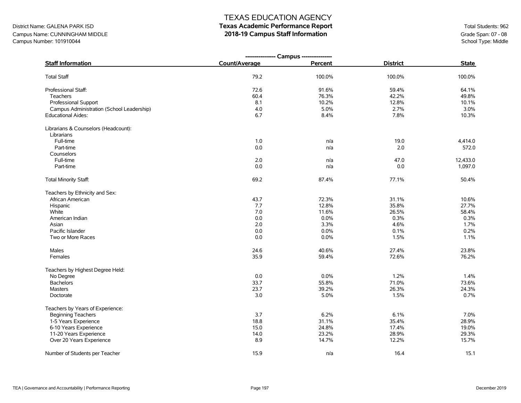## District Name: GALENA PARK ISD **Texas Academic Performance Report** Total Students: 962

Campus Name: CUNNINGHAM MIDDLE **2018-19 Campus Staff Information**<br>Campus Number: 101910044<br>School Type: Middle Campus Number: 101910044

|                                           |               | ---------------- Campus ---------------- |                 |              |
|-------------------------------------------|---------------|------------------------------------------|-----------------|--------------|
| <b>Staff Information</b>                  | Count/Average | Percent                                  | <b>District</b> | <b>State</b> |
| <b>Total Staff</b>                        | 79.2          | 100.0%                                   | 100.0%          | 100.0%       |
| Professional Staff:                       | 72.6          | 91.6%                                    | 59.4%           | 64.1%        |
| Teachers                                  | 60.4          | 76.3%                                    | 42.2%           | 49.8%        |
| <b>Professional Support</b>               | 8.1           | 10.2%                                    | 12.8%           | 10.1%        |
| Campus Administration (School Leadership) | 4.0           | 5.0%                                     | 2.7%            | 3.0%         |
| <b>Educational Aides:</b>                 | 6.7           | 8.4%                                     | 7.8%            | 10.3%        |
| Librarians & Counselors (Headcount):      |               |                                          |                 |              |
| Librarians                                |               |                                          |                 |              |
| Full-time                                 | 1.0           | n/a                                      | 19.0            | 4,414.0      |
| Part-time                                 | 0.0           | n/a                                      | 2.0             | 572.0        |
| Counselors                                |               |                                          |                 |              |
| Full-time                                 | 2.0           | n/a                                      | 47.0            | 12,433.0     |
| Part-time                                 | 0.0           | n/a                                      | 0.0             | 1,097.0      |
| Total Minority Staff:                     | 69.2          | 87.4%                                    | 77.1%           | 50.4%        |
| Teachers by Ethnicity and Sex:            |               |                                          |                 |              |
| African American                          | 43.7          | 72.3%                                    | 31.1%           | 10.6%        |
| Hispanic                                  | 7.7           | 12.8%                                    | 35.8%           | 27.7%        |
| White                                     | 7.0           | 11.6%                                    | 26.5%           | 58.4%        |
| American Indian                           | 0.0           | 0.0%                                     | 0.3%            | 0.3%         |
| Asian                                     | 2.0           | 3.3%                                     | 4.6%            | 1.7%         |
| Pacific Islander                          | 0.0           | 0.0%                                     | 0.1%            | 0.2%         |
| Two or More Races                         | 0.0           | 0.0%                                     | 1.5%            | 1.1%         |
| Males                                     | 24.6          | 40.6%                                    | 27.4%           | 23.8%        |
| Females                                   | 35.9          | 59.4%                                    | 72.6%           | 76.2%        |
| Teachers by Highest Degree Held:          |               |                                          |                 |              |
| No Degree                                 | 0.0           | 0.0%                                     | 1.2%            | 1.4%         |
| <b>Bachelors</b>                          | 33.7          | 55.8%                                    | 71.0%           | 73.6%        |
| <b>Masters</b>                            | 23.7          | 39.2%                                    | 26.3%           | 24.3%        |
| Doctorate                                 | 3.0           | 5.0%                                     | 1.5%            | 0.7%         |
| Teachers by Years of Experience:          |               |                                          |                 |              |
| <b>Beginning Teachers</b>                 | 3.7           | 6.2%                                     | 6.1%            | 7.0%         |
| 1-5 Years Experience                      | 18.8          | 31.1%                                    | 35.4%           | 28.9%        |
| 6-10 Years Experience                     | 15.0          | 24.8%                                    | 17.4%           | 19.0%        |
| 11-20 Years Experience                    | 14.0          | 23.2%                                    | 28.9%           | 29.3%        |
| Over 20 Years Experience                  | 8.9           | 14.7%                                    | 12.2%           | 15.7%        |
| Number of Students per Teacher            | 15.9          | n/a                                      | 16.4            | 15.1         |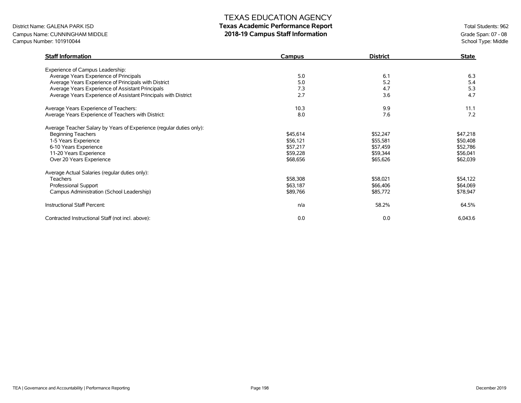## District Name: GALENA PARK ISD **Texas Academic Performance Report** Total Students: 962

Campus Name: CUNNINGHAM MIDDLE **2018-19 Campus Staff Information**<br>Campus Number: 101910044<br>School Type: Middle Campus Number: 101910044

| <b>Staff Information</b>                                             | Campus   | <b>District</b> | <b>State</b> |
|----------------------------------------------------------------------|----------|-----------------|--------------|
| Experience of Campus Leadership:                                     |          |                 |              |
| Average Years Experience of Principals                               | 5.0      | 6.1             | 6.3          |
| Average Years Experience of Principals with District                 | 5.0      | 5.2             | 5.4          |
| Average Years Experience of Assistant Principals                     | 7.3      | 4.7             | 5.3          |
| Average Years Experience of Assistant Principals with District       | 2.7      | 3.6             | 4.7          |
| Average Years Experience of Teachers:                                | 10.3     | 9.9             | 11.1         |
| Average Years Experience of Teachers with District:                  | 8.0      | 7.6             | 7.2          |
| Average Teacher Salary by Years of Experience (regular duties only): |          |                 |              |
| <b>Beginning Teachers</b>                                            | \$45,614 | \$52,247        | \$47,218     |
| 1-5 Years Experience                                                 | \$56,121 | \$55,581        | \$50,408     |
| 6-10 Years Experience                                                | \$57,217 | \$57,459        | \$52,786     |
| 11-20 Years Experience                                               | \$59,228 | \$59,344        | \$56,041     |
| Over 20 Years Experience                                             | \$68,656 | \$65,626        | \$62,039     |
| Average Actual Salaries (regular duties only):                       |          |                 |              |
| Teachers                                                             | \$58,308 | \$58,021        | \$54,122     |
| Professional Support                                                 | \$63,187 | \$66,406        | \$64,069     |
| Campus Administration (School Leadership)                            | \$89,766 | \$85,772        | \$78,947     |
| Instructional Staff Percent:                                         | n/a      | 58.2%           | 64.5%        |
| Contracted Instructional Staff (not incl. above):                    | 0.0      | 0.0             | 6,043.6      |